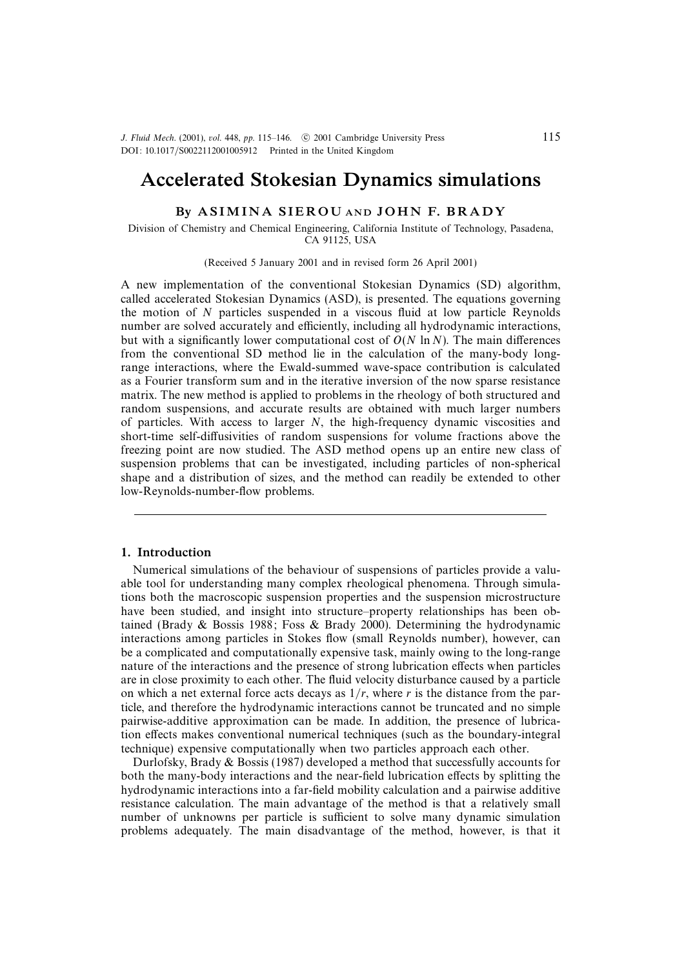J. Fluid Mech. (2001), vol. 448, pp. 115-146. © 2001 Cambridge University Press DOI: 10.1017/S0022112001005912 Printed in the United Kingdom

# Accelerated Stokesian Dynamics simulations

# By ASIMINA SIEROU AND JOHN F. BRADY

Division of Chemistry and Chemical Engineering, California Institute of Technology, Pasadena, CA 91125, USA

(Received 5 January 2001 and in revised form 26 April 2001)

A new implementation of the conventional Stokesian Dynamics (SD) algorithm, called accelerated Stokesian Dynamics (ASD), is presented. The equations governing the motion of  $N$  particles suspended in a viscous fluid at low particle Reynolds number are solved accurately and efficiently, including all hydrodynamic interactions, but with a significantly lower computational cost of  $O(N \ln N)$ . The main differences from the conventional SD method lie in the calculation of the many-body longrange interactions, where the Ewald-summed wave-space contribution is calculated as a Fourier transform sum and in the iterative inversion of the now sparse resistance matrix. The new method is applied to problems in the rheology of both structured and random suspensions, and accurate results are obtained with much larger numbers of particles. With access to larger  $N$ , the high-frequency dynamic viscosities and short-time self-diffusivities of random suspensions for volume fractions above the freezing point are now studied. The ASD method opens up an entire new class of suspension problems that can be investigated, including particles of non-spherical shape and a distribution of sizes, and the method can readily be extended to other low-Reynolds-number-flow problems.

# 1. Introduction

Numerical simulations of the behaviour of suspensions of particles provide a valuable tool for understanding many complex rheological phenomena. Through simulations both the macroscopic suspension properties and the suspension microstructure have been studied, and insight into structure–property relationships has been obtained (Brady & Bossis 1988; Foss & Brady 2000). Determining the hydrodynamic interactions among particles in Stokes flow (small Reynolds number), however, can be a complicated and computationally expensive task, mainly owing to the long-range nature of the interactions and the presence of strong lubrication effects when particles are in close proximity to each other. The fluid velocity disturbance caused by a particle on which a net external force acts decays as  $1/r$ , where r is the distance from the particle, and therefore the hydrodynamic interactions cannot be truncated and no simple pairwise-additive approximation can be made. In addition, the presence of lubrication effects makes conventional numerical techniques (such as the boundary-integral technique) expensive computationally when two particles approach each other.

Durlofsky, Brady & Bossis (1987) developed a method that successfully accounts for both the many-body interactions and the near-field lubrication effects by splitting the hydrodynamic interactions into a far-field mobility calculation and a pairwise additive resistance calculation. The main advantage of the method is that a relatively small number of unknowns per particle is sufficient to solve many dynamic simulation problems adequately. The main disadvantage of the method, however, is that it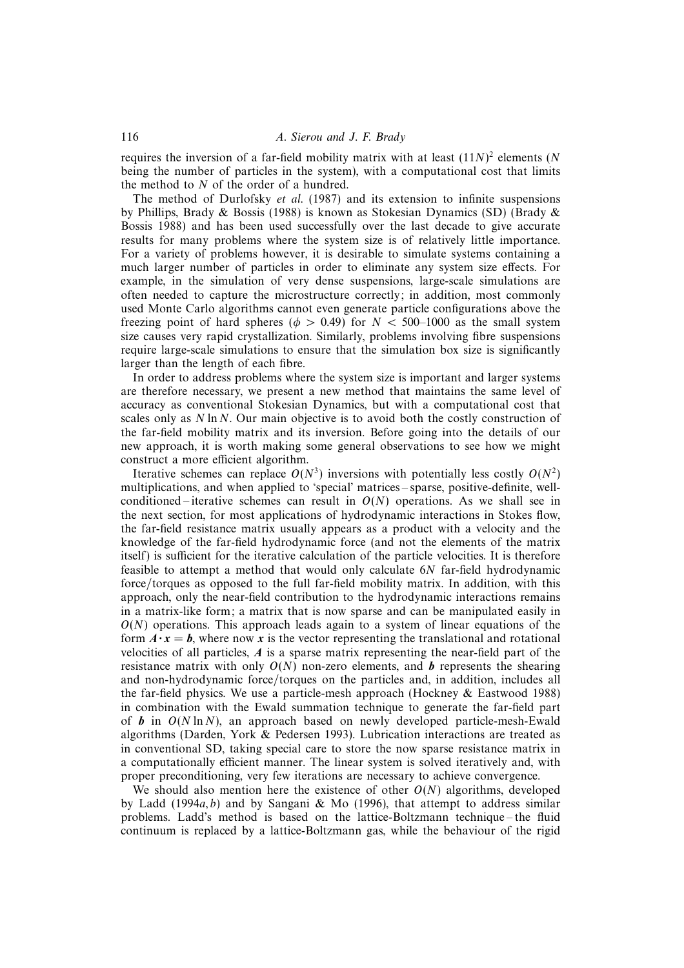requires the inversion of a far-field mobility matrix with at least  $(11N)^2$  elements (N being the number of particles in the system), with a computational cost that limits the method to N of the order of a hundred.

The method of Durlofsky et al. (1987) and its extension to infinite suspensions by Phillips, Brady & Bossis (1988) is known as Stokesian Dynamics (SD) (Brady & Bossis 1988) and has been used successfully over the last decade to give accurate results for many problems where the system size is of relatively little importance. For a variety of problems however, it is desirable to simulate systems containing a much larger number of particles in order to eliminate any system size effects. For example, in the simulation of very dense suspensions, large-scale simulations are often needed to capture the microstructure correctly; in addition, most commonly used Monte Carlo algorithms cannot even generate particle configurations above the freezing point of hard spheres ( $\phi > 0.49$ ) for  $N < 500-1000$  as the small system size causes very rapid crystallization. Similarly, problems involving fibre suspensions require large-scale simulations to ensure that the simulation box size is significantly larger than the length of each fibre.

In order to address problems where the system size is important and larger systems are therefore necessary, we present a new method that maintains the same level of accuracy as conventional Stokesian Dynamics, but with a computational cost that scales only as N ln N. Our main objective is to avoid both the costly construction of the far-field mobility matrix and its inversion. Before going into the details of our new approach, it is worth making some general observations to see how we might construct a more efficient algorithm.

Iterative schemes can replace  $O(N^3)$  inversions with potentially less costly  $O(N^2)$ multiplications, and when applied to 'special' matrices – sparse, positive-definite, wellconditioned – iterative schemes can result in  $O(N)$  operations. As we shall see in the next section, for most applications of hydrodynamic interactions in Stokes flow, the far-field resistance matrix usually appears as a product with a velocity and the knowledge of the far-field hydrodynamic force (and not the elements of the matrix itself) is sufficient for the iterative calculation of the particle velocities. It is therefore feasible to attempt a method that would only calculate 6N far-field hydrodynamic force/torques as opposed to the full far-field mobility matrix. In addition, with this approach, only the near-field contribution to the hydrodynamic interactions remains in a matrix-like form; a matrix that is now sparse and can be manipulated easily in  $O(N)$  operations. This approach leads again to a system of linear equations of the form  $A \cdot x = b$ , where now x is the vector representing the translational and rotational velocities of all particles, *A* is a sparse matrix representing the near-field part of the resistance matrix with only  $O(N)$  non-zero elements, and **b** represents the shearing and non-hydrodynamic force/torques on the particles and, in addition, includes all the far-field physics. We use a particle-mesh approach (Hockney & Eastwood 1988) in combination with the Ewald summation technique to generate the far-field part of  $\boldsymbol{b}$  in  $O(N \ln N)$ , an approach based on newly developed particle-mesh-Ewald algorithms (Darden, York & Pedersen 1993). Lubrication interactions are treated as in conventional SD, taking special care to store the now sparse resistance matrix in a computationally efficient manner. The linear system is solved iteratively and, with proper preconditioning, very few iterations are necessary to achieve convergence.

We should also mention here the existence of other  $O(N)$  algorithms, developed by Ladd (1994a, b) and by Sangani & Mo (1996), that attempt to address similar problems. Ladd's method is based on the lattice-Boltzmann technique – the fluid continuum is replaced by a lattice-Boltzmann gas, while the behaviour of the rigid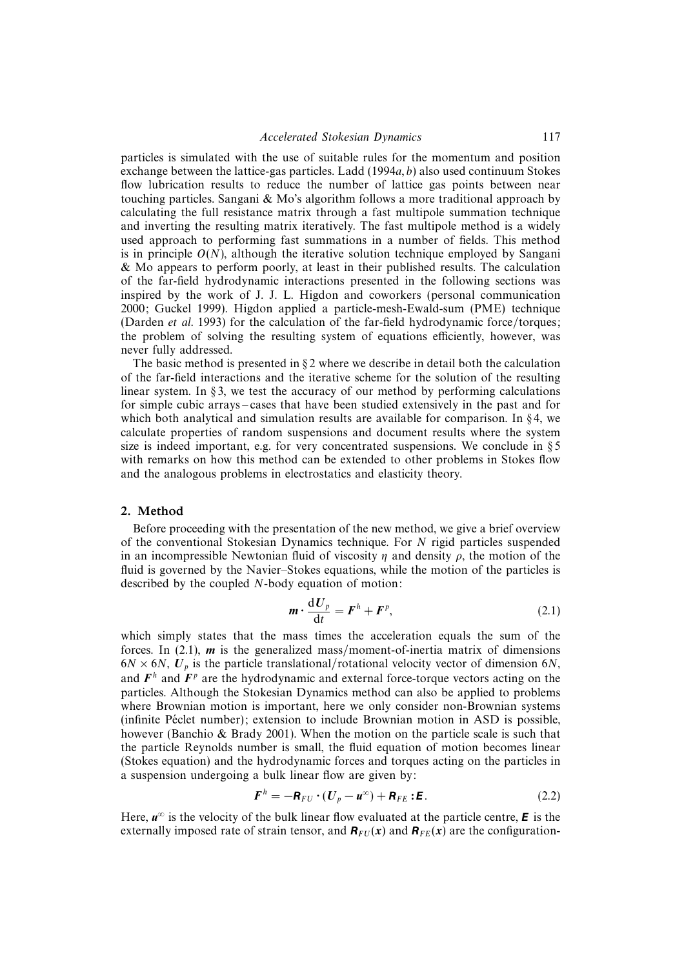particles is simulated with the use of suitable rules for the momentum and position exchange between the lattice-gas particles. Ladd  $(1994a, b)$  also used continuum Stokes flow lubrication results to reduce the number of lattice gas points between near touching particles. Sangani & Mo's algorithm follows a more traditional approach by calculating the full resistance matrix through a fast multipole summation technique and inverting the resulting matrix iteratively. The fast multipole method is a widely used approach to performing fast summations in a number of fields. This method is in principle  $O(N)$ , although the iterative solution technique employed by Sangani & Mo appears to perform poorly, at least in their published results. The calculation of the far-field hydrodynamic interactions presented in the following sections was inspired by the work of J. J. L. Higdon and coworkers (personal communication 2000; Guckel 1999). Higdon applied a particle-mesh-Ewald-sum (PME) technique (Darden et al. 1993) for the calculation of the far-field hydrodynamic force/torques; the problem of solving the resulting system of equations efficiently, however, was never fully addressed.

The basic method is presented in  $\S 2$  where we describe in detail both the calculation of the far-field interactions and the iterative scheme for the solution of the resulting linear system. In  $\S$ 3, we test the accuracy of our method by performing calculations for simple cubic arrays – cases that have been studied extensively in the past and for which both analytical and simulation results are available for comparison. In §4, we calculate properties of random suspensions and document results where the system size is indeed important, e.g. for very concentrated suspensions. We conclude in  $\S 5$ with remarks on how this method can be extended to other problems in Stokes flow and the analogous problems in electrostatics and elasticity theory.

## 2. Method

Before proceeding with the presentation of the new method, we give a brief overview of the conventional Stokesian Dynamics technique. For N rigid particles suspended in an incompressible Newtonian fluid of viscosity  $\eta$  and density  $\rho$ , the motion of the fluid is governed by the Navier–Stokes equations, while the motion of the particles is described by the coupled N-body equation of motion:

$$
\boldsymbol{m} \cdot \frac{\mathrm{d} \boldsymbol{U}_p}{\mathrm{d} t} = \boldsymbol{F}^h + \boldsymbol{F}^p,\tag{2.1}
$$

which simply states that the mass times the acceleration equals the sum of the forces. In (2.1), *m* is the generalized mass/moment-of-inertia matrix of dimensions  $6N \times 6N$ ,  $U_p$  is the particle translational/rotational velocity vector of dimension 6N, and  $F^h$  and  $\overline{F^p}$  are the hydrodynamic and external force-torque vectors acting on the particles. Although the Stokesian Dynamics method can also be applied to problems where Brownian motion is important, here we only consider non-Brownian systems (infinite Péclet number); extension to include Brownian motion in ASD is possible, however (Banchio & Brady 2001). When the motion on the particle scale is such that the particle Reynolds number is small, the fluid equation of motion becomes linear (Stokes equation) and the hydrodynamic forces and torques acting on the particles in a suspension undergoing a bulk linear flow are given by:

$$
\boldsymbol{F}^h = -\boldsymbol{R}_{FU} \cdot (\boldsymbol{U}_p - \boldsymbol{u}^{\infty}) + \boldsymbol{R}_{FE} \cdot \boldsymbol{E}. \tag{2.2}
$$

Here,  $u^{\infty}$  is the velocity of the bulk linear flow evaluated at the particle centre, **E** is the externally imposed rate of strain tensor, and  $R_{FU}(x)$  and  $R_{FE}(x)$  are the configuration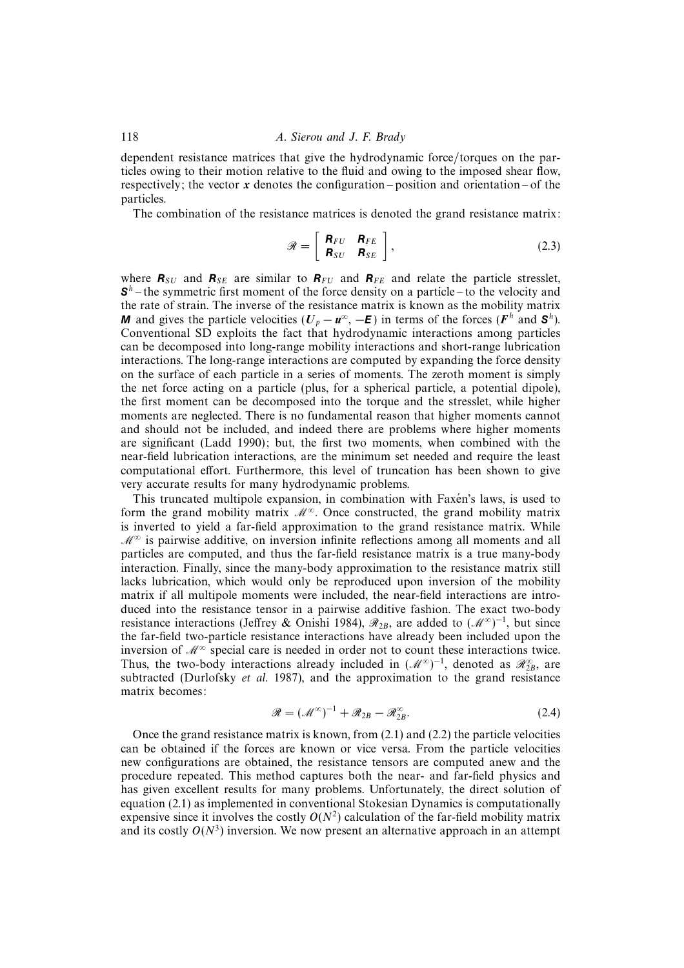dependent resistance matrices that give the hydrodynamic force/torques on the particles owing to their motion relative to the fluid and owing to the imposed shear flow, respectively; the vector  $x$  denotes the configuration – position and orientation – of the particles.

The combination of the resistance matrices is denoted the grand resistance matrix:

$$
\mathscr{R} = \left[ \begin{array}{cc} \mathbf{R}_{FU} & \mathbf{R}_{FE} \\ \mathbf{R}_{SU} & \mathbf{R}_{SE} \end{array} \right],\tag{2.3}
$$

where  $\mathbf{R}_{SU}$  and  $\mathbf{R}_{SE}$  are similar to  $\mathbf{R}_{FU}$  and  $\mathbf{R}_{FE}$  and relate the particle stresslet,  $S<sup>h</sup>$  – the symmetric first moment of the force density on a particle – to the velocity and the rate of strain. The inverse of the resistance matrix is known as the mobility matrix *M* and gives the particle velocities ( $U_p - u^\infty$ ,  $-\mathbf{E}$ ) in terms of the forces ( $F^h$  and  $S^h$ ). Conventional SD exploits the fact that hydrodynamic interactions among particles can be decomposed into long-range mobility interactions and short-range lubrication interactions. The long-range interactions are computed by expanding the force density on the surface of each particle in a series of moments. The zeroth moment is simply the net force acting on a particle (plus, for a spherical particle, a potential dipole), the first moment can be decomposed into the torque and the stresslet, while higher moments are neglected. There is no fundamental reason that higher moments cannot and should not be included, and indeed there are problems where higher moments are significant (Ladd 1990); but, the first two moments, when combined with the near-field lubrication interactions, are the minimum set needed and require the least computational effort. Furthermore, this level of truncation has been shown to give very accurate results for many hydrodynamic problems.

This truncated multipole expansion, in combination with Faxen's laws, is used to form the grand mobility matrix  $\mathcal{M}^{\infty}$ . Once constructed, the grand mobility matrix is inverted to yield a far-field approximation to the grand resistance matrix. While  $\mathcal{M}^{\infty}$  is pairwise additive, on inversion infinite reflections among all moments and all particles are computed, and thus the far-field resistance matrix is a true many-body interaction. Finally, since the many-body approximation to the resistance matrix still lacks lubrication, which would only be reproduced upon inversion of the mobility matrix if all multipole moments were included, the near-field interactions are introduced into the resistance tensor in a pairwise additive fashion. The exact two-body resistance interactions (Jeffrey & Onishi 1984),  $\mathcal{R}_{2B}$ , are added to  $(\mathcal{M}^{\infty})^{-1}$ , but since the far-field two-particle resistance interactions have already been included upon the inversion of  $\mathcal{M}^{\infty}$  special care is needed in order not to count these interactions twice. Thus, the two-body interactions already included in  $(M^{\infty})^{-1}$ , denoted as  $\mathcal{R}_{2B}^{\infty}$ , are subtracted (Durlofsky et al. 1987), and the approximation to the grand resistance matrix becomes:

$$
\mathcal{R} = (\mathcal{M}^{\infty})^{-1} + \mathcal{R}_{2B} - \mathcal{R}_{2B}^{\infty}.
$$
 (2.4)

Once the grand resistance matrix is known, from  $(2.1)$  and  $(2.2)$  the particle velocities can be obtained if the forces are known or vice versa. From the particle velocities new configurations are obtained, the resistance tensors are computed anew and the procedure repeated. This method captures both the near- and far-field physics and has given excellent results for many problems. Unfortunately, the direct solution of equation (2.1) as implemented in conventional Stokesian Dynamics is computationally expensive since it involves the costly  $O(N^2)$  calculation of the far-field mobility matrix and its costly  $O(N^3)$  inversion. We now present an alternative approach in an attempt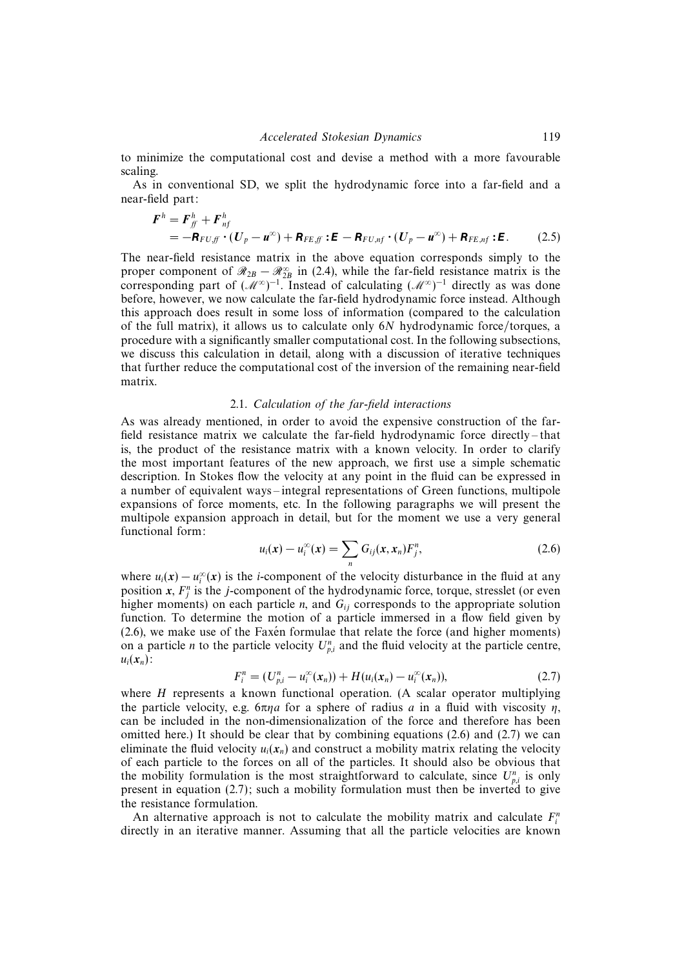to minimize the computational cost and devise a method with a more favourable scaling.

As in conventional SD, we split the hydrodynamic force into a far-field and a near-field part:

$$
\begin{aligned} \boldsymbol{F}^h &= \boldsymbol{F}_{\mathcal{J}}^h + \boldsymbol{F}_{nf}^h \\ &= -\boldsymbol{R}_{FU,\mathcal{J}} \cdot (\boldsymbol{U}_p - \boldsymbol{u}^{\infty}) + \boldsymbol{R}_{FE,\mathcal{J}} : \boldsymbol{E} - \boldsymbol{R}_{FU,nf} \cdot (\boldsymbol{U}_p - \boldsymbol{u}^{\infty}) + \boldsymbol{R}_{FE,nf} : \boldsymbol{E}. \end{aligned} \tag{2.5}
$$

The near-field resistance matrix in the above equation corresponds simply to the proper component of  $\mathcal{R}_{2B} - \mathcal{R}_{2B}^{\infty}$  in (2.4), while the far-field resistance matrix is the corresponding part of  $(M^{\infty})^{-1}$ . Instead of calculating  $(M^{\infty})^{-1}$  directly as was done before, however, we now calculate the far-field hydrodynamic force instead. Although this approach does result in some loss of information (compared to the calculation of the full matrix), it allows us to calculate only 6N hydrodynamic force/torques, a procedure with a significantly smaller computational cost. In the following subsections, we discuss this calculation in detail, along with a discussion of iterative techniques that further reduce the computational cost of the inversion of the remaining near-field matrix.

## 2.1. Calculation of the far-field interactions

As was already mentioned, in order to avoid the expensive construction of the farfield resistance matrix we calculate the far-field hydrodynamic force directly – that is, the product of the resistance matrix with a known velocity. In order to clarify the most important features of the new approach, we first use a simple schematic description. In Stokes flow the velocity at any point in the fluid can be expressed in a number of equivalent ways – integral representations of Green functions, multipole expansions of force moments, etc. In the following paragraphs we will present the multipole expansion approach in detail, but for the moment we use a very general functional form:

$$
u_i(x) - u_i^{\infty}(x) = \sum_n G_{ij}(x, x_n) F_j^n,
$$
\n(2.6)

where  $u_i(x) - u_i^{\infty}(x)$  is the *i*-component of the velocity disturbance in the fluid at any position  $x$ ,  $F_j^n$  is the *j*-component of the hydrodynamic force, torque, stresslet (or even higher moments) on each particle *n*, and  $G_{ij}$  corresponds to the appropriate solution function. To determine the motion of a particle immersed in a flow field given by  $(2.6)$ , we make use of the Faxen formulae that relate the force (and higher moments) on a particle *n* to the particle velocity  $U_{p,i}^n$  and the fluid velocity at the particle centre,  $u_i(\mathbf{x}_n)$ :

$$
F_i^n = (U_{p,i}^n - u_i^{\infty}(\mathbf{x}_n)) + H(u_i(\mathbf{x}_n) - u_i^{\infty}(\mathbf{x}_n)),
$$
\n(2.7)

where  $H$  represents a known functional operation. (A scalar operator multiplying the particle velocity, e.g.  $6\pi\eta a$  for a sphere of radius a in a fluid with viscosity  $\eta$ , can be included in the non-dimensionalization of the force and therefore has been omitted here.) It should be clear that by combining equations (2.6) and (2.7) we can eliminate the fluid velocity  $u_i(x_n)$  and construct a mobility matrix relating the velocity of each particle to the forces on all of the particles. It should also be obvious that the mobility formulation is the most straightforward to calculate, since  $U_{p,i}^n$  is only present in equation (2.7); such a mobility formulation must then be inverted to give the resistance formulation.

An alternative approach is not to calculate the mobility matrix and calculate  $F_i^n$ directly in an iterative manner. Assuming that all the particle velocities are known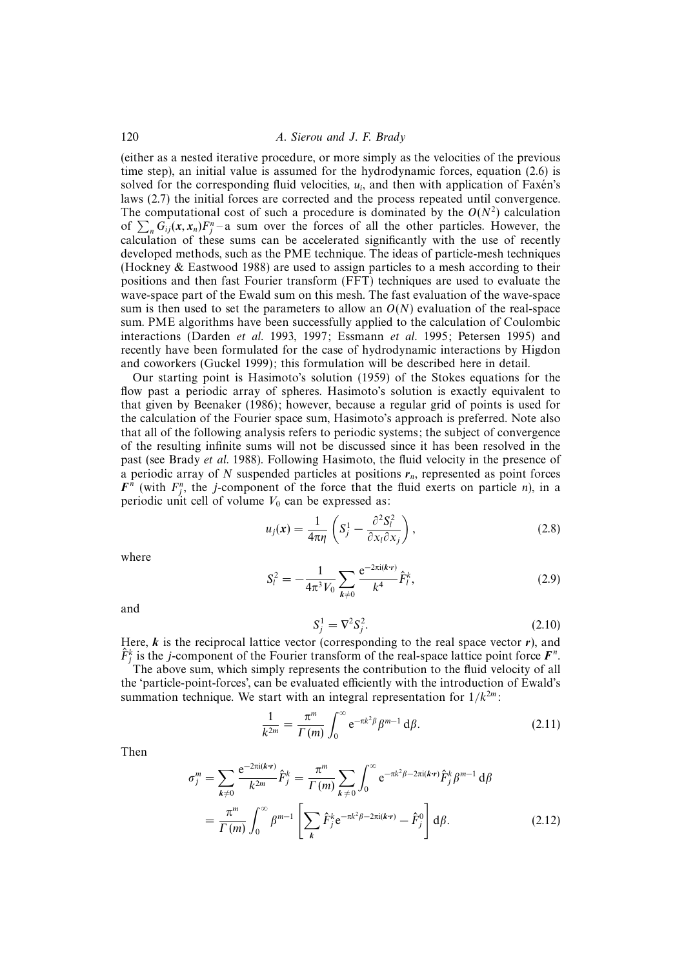(either as a nested iterative procedure, or more simply as the velocities of the previous time step), an initial value is assumed for the hydrodynamic forces, equation (2.6) is solved for the corresponding fluid velocities,  $u_i$ , and then with application of Faxén's laws (2.7) the initial forces are corrected and the process repeated until convergence. The computational cost of such a procedure is dominated by the  $O(N^2)$  calculation of  $\sum_{n} G_{ij}(x, x_n) F_j^n$  – a sum over the forces of all the other particles. However, the calculation of these sums can be accelerated significantly with the use of recently developed methods, such as the PME technique. The ideas of particle-mesh techniques (Hockney & Eastwood 1988) are used to assign particles to a mesh according to their positions and then fast Fourier transform (FFT) techniques are used to evaluate the wave-space part of the Ewald sum on this mesh. The fast evaluation of the wave-space sum is then used to set the parameters to allow an  $O(N)$  evaluation of the real-space sum. PME algorithms have been successfully applied to the calculation of Coulombic interactions (Darden et al. 1993, 1997; Essmann et al. 1995; Petersen 1995) and recently have been formulated for the case of hydrodynamic interactions by Higdon and coworkers (Guckel 1999); this formulation will be described here in detail.

Our starting point is Hasimoto's solution (1959) of the Stokes equations for the flow past a periodic array of spheres. Hasimoto's solution is exactly equivalent to that given by Beenaker (1986); however, because a regular grid of points is used for the calculation of the Fourier space sum, Hasimoto's approach is preferred. Note also that all of the following analysis refers to periodic systems; the subject of convergence of the resulting infinite sums will not be discussed since it has been resolved in the past (see Brady et al. 1988). Following Hasimoto, the fluid velocity in the presence of a periodic array of N suspended particles at positions  $r_n$ , represented as point forces  $F<sup>n</sup>$  (with  $F<sub>j</sub><sup>n</sup>$ , the *j*-component of the force that the fluid exerts on particle *n*), in a periodic unit cell of volume  $V_0$  can be expressed as:

$$
u_j(\mathbf{x}) = \frac{1}{4\pi\eta} \left( S_j^1 - \frac{\partial^2 S_l^2}{\partial x_i \partial x_j} \right),\tag{2.8}
$$

where

$$
S_l^2 = -\frac{1}{4\pi^3 V_0} \sum_{k \neq 0} \frac{e^{-2\pi i (kr)}}{k^4} \hat{F}_l^k,
$$
 (2.9)

and

$$
S_j^1 = \nabla^2 S_j^2. \tag{2.10}
$$

Here,  $\boldsymbol{k}$  is the reciprocal lattice vector (corresponding to the real space vector  $\boldsymbol{r}$ ), and  $\hat{F}_j^k$  is the *j*-component of the Fourier transform of the real-space lattice point force  $F^n$ .

The above sum, which simply represents the contribution to the fluid velocity of all the 'particle-point-forces', can be evaluated efficiently with the introduction of Ewald's summation technique. We start with an integral representation for  $1/k^{2m}$ :

$$
\frac{1}{k^{2m}} = \frac{\pi^m}{\Gamma(m)} \int_0^\infty e^{-\pi k^2 \beta} \beta^{m-1} d\beta.
$$
 (2.11)

Then

$$
\sigma_j^m = \sum_{k \neq 0} \frac{e^{-2\pi i(k \cdot r)}}{k^{2m}} \hat{F}_j^k = \frac{\pi^m}{\Gamma(m)} \sum_{k \neq 0} \int_0^\infty e^{-\pi k^2 \beta - 2\pi i(k \cdot r)} \hat{F}_j^k \beta^{m-1} d\beta
$$
  
= 
$$
\frac{\pi^m}{\Gamma(m)} \int_0^\infty \beta^{m-1} \left[ \sum_k \hat{F}_j^k e^{-\pi k^2 \beta - 2\pi i(k \cdot r)} - \hat{F}_j^0 \right] d\beta.
$$
 (2.12)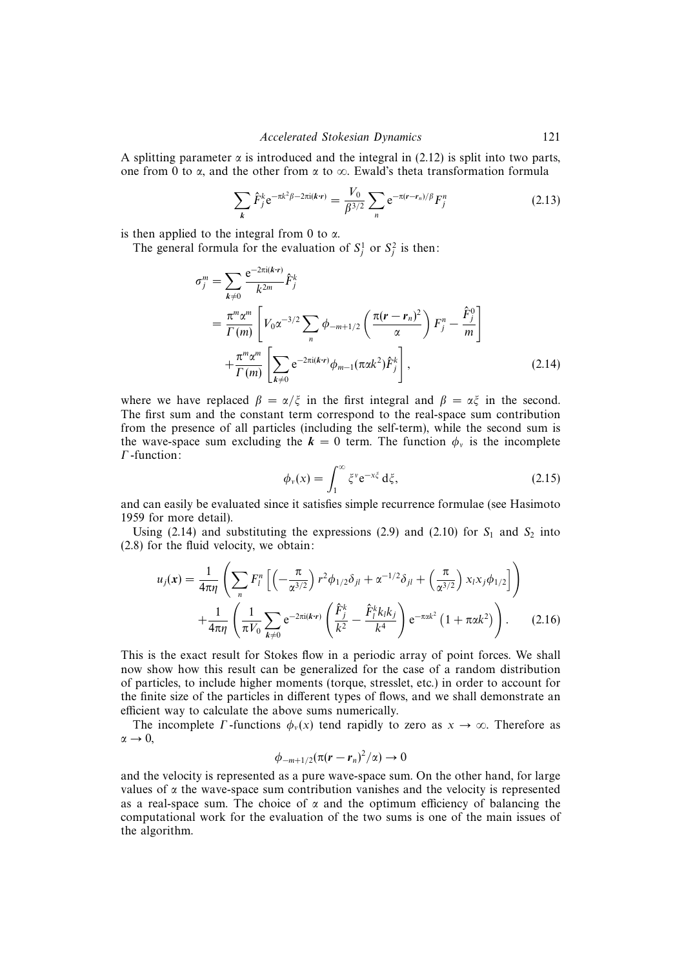A splitting parameter  $\alpha$  is introduced and the integral in (2.12) is split into two parts, one from 0 to  $\alpha$ , and the other from  $\alpha$  to  $\infty$ . Ewald's theta transformation formula

$$
\sum_{k} \hat{F}_{j}^{k} e^{-\pi k^{2} \beta - 2\pi i (kr)} = \frac{V_{0}}{\beta^{3/2}} \sum_{n} e^{-\pi (r - r_{n})/\beta} F_{j}^{n}
$$
 (2.13)

is then applied to the integral from 0 to  $\alpha$ .

The general formula for the evaluation of  $S_j^1$  or  $S_j^2$  is then:

$$
\sigma_j^m = \sum_{k \neq 0} \frac{e^{-2\pi i (kr)}}{k^{2m}} \hat{F}_j^k
$$
  
=  $\frac{\pi^m \alpha^m}{\Gamma(m)} \left[ V_0 \alpha^{-3/2} \sum_n \phi_{-m+1/2} \left( \frac{\pi (r - r_n)^2}{\alpha} \right) F_j^n - \frac{\hat{F}_j^0}{m} \right]$   
+  $\frac{\pi^m \alpha^m}{\Gamma(m)} \left[ \sum_{k \neq 0} e^{-2\pi i (kr)} \phi_{m-1} (\pi \alpha k^2) \hat{F}_j^k \right],$  (2.14)

where we have replaced  $\beta = \alpha/\xi$  in the first integral and  $\beta = \alpha\xi$  in the second. The first sum and the constant term correspond to the real-space sum contribution from the presence of all particles (including the self-term), while the second sum is the wave-space sum excluding the  $k = 0$  term. The function  $\phi_{\nu}$  is the incomplete Γ-function:

$$
\phi_{\nu}(x) = \int_{1}^{\infty} \xi^{\nu} e^{-x\xi} d\xi, \qquad (2.15)
$$

and can easily be evaluated since it satisfies simple recurrence formulae (see Hasimoto 1959 for more detail).

Using (2.14) and substituting the expressions (2.9) and (2.10) for  $S_1$  and  $S_2$  into (2.8) for the fluid velocity, we obtain:

$$
u_j(\mathbf{x}) = \frac{1}{4\pi\eta} \left( \sum_n F_l^n \left[ \left( -\frac{\pi}{\alpha^{3/2}} \right) r^2 \phi_{1/2} \delta_{jl} + \alpha^{-1/2} \delta_{jl} + \left( \frac{\pi}{\alpha^{3/2}} \right) x_l x_j \phi_{1/2} \right] \right) + \frac{1}{4\pi\eta} \left( \frac{1}{\pi V_0} \sum_{k \neq 0} e^{-2\pi i (kr)} \left( \frac{\hat{F}_j^k}{k^2} - \frac{\hat{F}_l^k k_l k_j}{k^4} \right) e^{-\pi \alpha k^2} \left( 1 + \pi \alpha k^2 \right) \right). \tag{2.16}
$$

This is the exact result for Stokes flow in a periodic array of point forces. We shall now show how this result can be generalized for the case of a random distribution of particles, to include higher moments (torque, stresslet, etc.) in order to account for the finite size of the particles in different types of flows, and we shall demonstrate an efficient way to calculate the above sums numerically.

The incomplete  $\Gamma$ -functions  $\phi_{\nu}(x)$  tend rapidly to zero as  $x \to \infty$ . Therefore as  $\alpha \rightarrow 0$ ,

$$
\phi_{-m+1/2}(\pi(\mathbf{r}-\mathbf{r}_n)^2/\alpha)\to 0
$$

and the velocity is represented as a pure wave-space sum. On the other hand, for large values of  $\alpha$  the wave-space sum contribution vanishes and the velocity is represented as a real-space sum. The choice of  $\alpha$  and the optimum efficiency of balancing the computational work for the evaluation of the two sums is one of the main issues of the algorithm.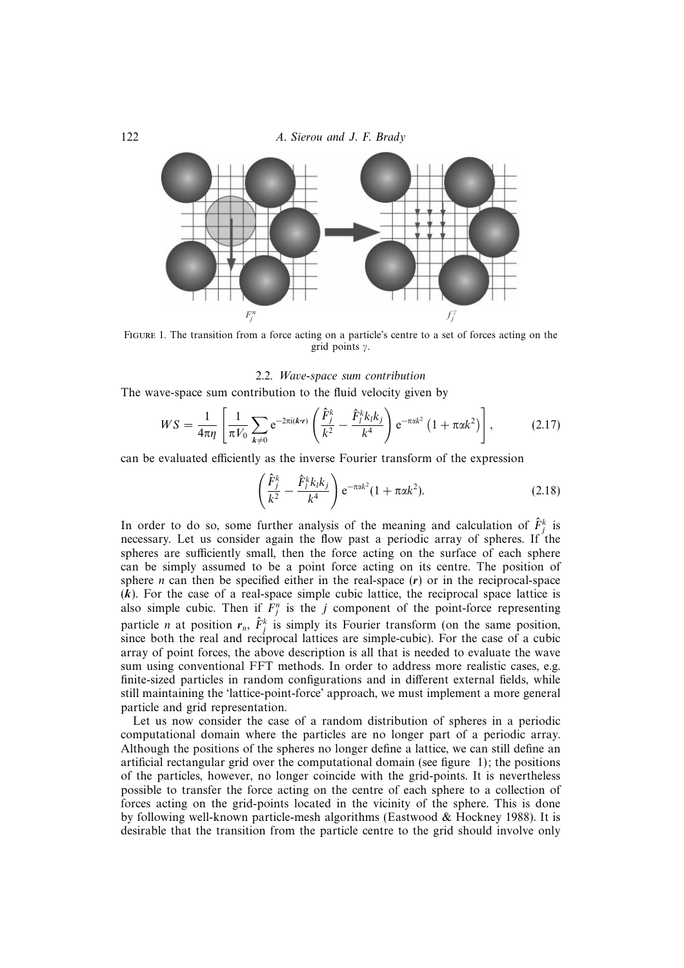

Figure 1. The transition from a force acting on a particle's centre to a set of forces acting on the grid points γ.

#### 2.2. Wave-space sum contribution

The wave-space sum contribution to the fluid velocity given by

$$
WS = \frac{1}{4\pi\eta} \left[ \frac{1}{\pi V_0} \sum_{k \neq 0} e^{-2\pi i (kr)} \left( \frac{\hat{F}_j^k}{k^2} - \frac{\hat{F}_l^k k_l k_j}{k^4} \right) e^{-\pi \alpha k^2} \left( 1 + \pi \alpha k^2 \right) \right],
$$
 (2.17)

can be evaluated efficiently as the inverse Fourier transform of the expression

$$
\left(\frac{\hat{F}_j^k}{k^2} - \frac{\hat{F}_l^k k_l k_j}{k^4}\right) e^{-\pi \alpha k^2} (1 + \pi \alpha k^2).
$$
 (2.18)

In order to do so, some further analysis of the meaning and calculation of  $\hat{F}^k_j$  is necessary. Let us consider again the flow past a periodic array of spheres. If the spheres are sufficiently small, then the force acting on the surface of each sphere can be simply assumed to be a point force acting on its centre. The position of sphere n can then be specified either in the real-space (*r*) or in the reciprocal-space (*k*). For the case of a real-space simple cubic lattice, the reciprocal space lattice is also simple cubic. Then if  $F_j^n$  is the j component of the point-force representing particle *n* at position  $r_n$ ,  $\hat{F}_j^k$  is simply its Fourier transform (on the same position, since both the real and reciprocal lattices are simple-cubic). For the case of a cubic array of point forces, the above description is all that is needed to evaluate the wave sum using conventional FFT methods. In order to address more realistic cases, e.g. finite-sized particles in random configurations and in different external fields, while still maintaining the 'lattice-point-force' approach, we must implement a more general particle and grid representation.

Let us now consider the case of a random distribution of spheres in a periodic computational domain where the particles are no longer part of a periodic array. Although the positions of the spheres no longer define a lattice, we can still define an artificial rectangular grid over the computational domain (see figure 1); the positions of the particles, however, no longer coincide with the grid-points. It is nevertheless possible to transfer the force acting on the centre of each sphere to a collection of forces acting on the grid-points located in the vicinity of the sphere. This is done by following well-known particle-mesh algorithms (Eastwood & Hockney 1988). It is desirable that the transition from the particle centre to the grid should involve only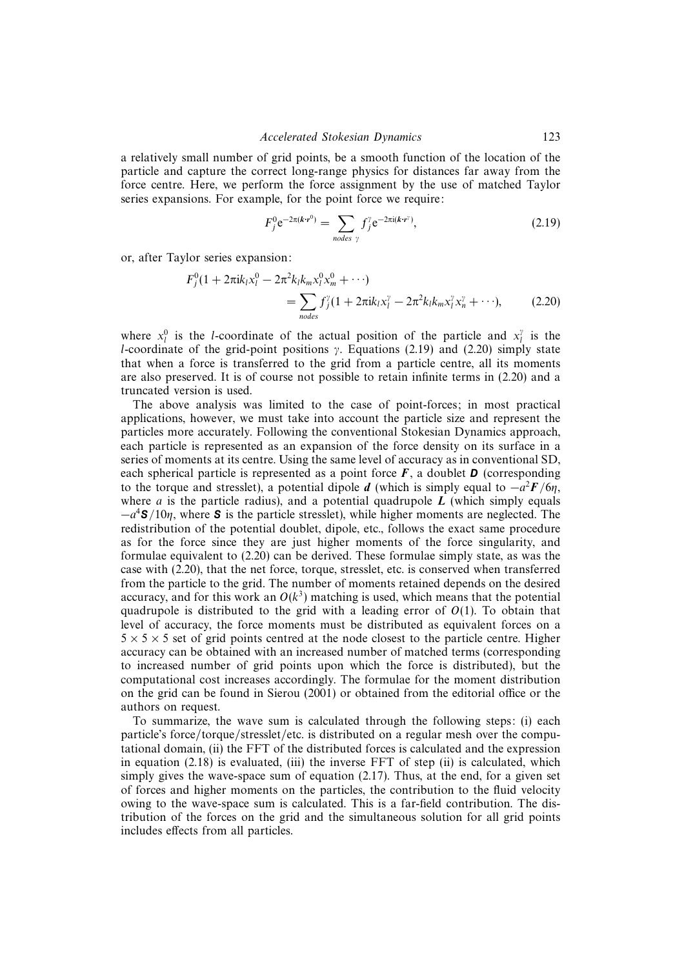a relatively small number of grid points, be a smooth function of the location of the particle and capture the correct long-range physics for distances far away from the force centre. Here, we perform the force assignment by the use of matched Taylor series expansions. For example, for the point force we require:

$$
F_j^0 e^{-2\pi(\mathbf{k} \cdot \mathbf{r}^0)} = \sum_{nodes \gamma} f_j^{\gamma} e^{-2\pi i(\mathbf{k} \cdot \mathbf{r}^{\gamma})}, \qquad (2.19)
$$

or, after Taylor series expansion:

$$
F_j^0(1 + 2\pi i k_l x_l^0 - 2\pi^2 k_l k_m x_l^0 x_m^0 + \cdots)
$$
  
= 
$$
\sum_{nodes} f_j^{\gamma}(1 + 2\pi i k_l x_l^{\gamma} - 2\pi^2 k_l k_m x_l^{\gamma} x_n^{\gamma} + \cdots),
$$
 (2.20)

where  $x_l^0$  is the *l*-coordinate of the actual position of the particle and  $x_l^{\gamma}$  is the *l*-coordinate of the grid-point positions  $\gamma$ . Equations (2.19) and (2.20) simply state that when a force is transferred to the grid from a particle centre, all its moments are also preserved. It is of course not possible to retain infinite terms in (2.20) and a truncated version is used.

The above analysis was limited to the case of point-forces; in most practical applications, however, we must take into account the particle size and represent the particles more accurately. Following the conventional Stokesian Dynamics approach, each particle is represented as an expansion of the force density on its surface in a series of moments at its centre. Using the same level of accuracy as in conventional SD, each spherical particle is represented as a point force  $\vec{F}$ , a doublet  $\vec{D}$  (corresponding to the torque and stresslet), a potential dipole *d* (which is simply equal to  $-a^2F/6\eta$ , where  $a$  is the particle radius), and a potential quadrupole  $L$  (which simply equals <sup>−</sup>a<sup>4</sup>*S*/10η, where *<sup>S</sup>* is the particle stresslet), while higher moments are neglected. The redistribution of the potential doublet, dipole, etc., follows the exact same procedure as for the force since they are just higher moments of the force singularity, and formulae equivalent to (2.20) can be derived. These formulae simply state, as was the case with (2.20), that the net force, torque, stresslet, etc. is conserved when transferred from the particle to the grid. The number of moments retained depends on the desired accuracy, and for this work an  $O(k^3)$  matching is used, which means that the potential quadrupole is distributed to the grid with a leading error of  $O(1)$ . To obtain that level of accuracy, the force moments must be distributed as equivalent forces on a  $5 \times 5 \times 5$  set of grid points centred at the node closest to the particle centre. Higher accuracy can be obtained with an increased number of matched terms (corresponding to increased number of grid points upon which the force is distributed), but the computational cost increases accordingly. The formulae for the moment distribution on the grid can be found in Sierou (2001) or obtained from the editorial office or the authors on request.

To summarize, the wave sum is calculated through the following steps: (i) each particle's force/torque/stresslet/etc. is distributed on a regular mesh over the computational domain, (ii) the FFT of the distributed forces is calculated and the expression in equation (2.18) is evaluated, (iii) the inverse FFT of step (ii) is calculated, which simply gives the wave-space sum of equation (2.17). Thus, at the end, for a given set of forces and higher moments on the particles, the contribution to the fluid velocity owing to the wave-space sum is calculated. This is a far-field contribution. The distribution of the forces on the grid and the simultaneous solution for all grid points includes effects from all particles.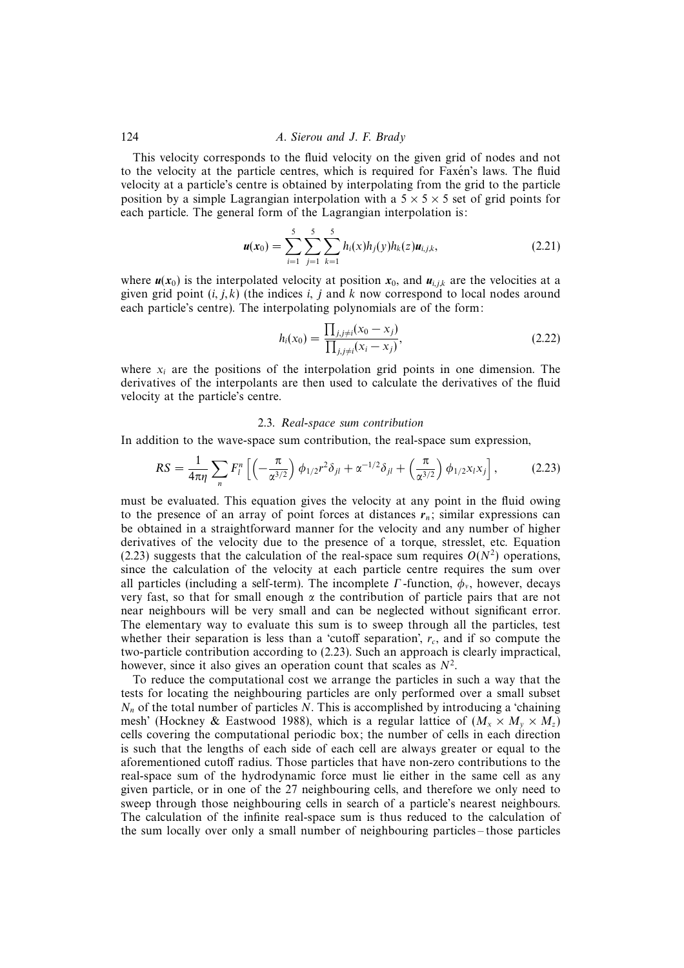This velocity corresponds to the fluid velocity on the given grid of nodes and not to the velocity at the particle centres, which is required for Faxen's laws. The fluid velocity at a particle's centre is obtained by interpolating from the grid to the particle position by a simple Lagrangian interpolation with a  $5 \times 5 \times 5$  set of grid points for each particle. The general form of the Lagrangian interpolation is:

$$
\mathbf{u}(\mathbf{x}_0) = \sum_{i=1}^5 \sum_{j=1}^5 \sum_{k=1}^5 h_i(x) h_j(y) h_k(z) \mathbf{u}_{i,j,k},
$$
 (2.21)

where  $u(x_0)$  is the interpolated velocity at position  $x_0$ , and  $u_{i,j,k}$  are the velocities at a given grid point  $(i, j, k)$  (the indices i, j and k now correspond to local nodes around each particle's centre). The interpolating polynomials are of the form:

$$
h_i(x_0) = \frac{\prod_{j,j \neq i} (x_0 - x_j)}{\prod_{j,j \neq i} (x_i - x_j)},
$$
\n(2.22)

where  $x_i$  are the positions of the interpolation grid points in one dimension. The derivatives of the interpolants are then used to calculate the derivatives of the fluid velocity at the particle's centre.

#### 2.3. Real-space sum contribution

In addition to the wave-space sum contribution, the real-space sum expression,

$$
RS = \frac{1}{4\pi\eta} \sum_{n} F_{l}^{n} \left[ \left( -\frac{\pi}{\alpha^{3/2}} \right) \phi_{1/2} r^{2} \delta_{jl} + \alpha^{-1/2} \delta_{jl} + \left( \frac{\pi}{\alpha^{3/2}} \right) \phi_{1/2} x_{l} x_{j} \right],
$$
 (2.23)

must be evaluated. This equation gives the velocity at any point in the fluid owing to the presence of an array of point forces at distances  $r_n$ ; similar expressions can be obtained in a straightforward manner for the velocity and any number of higher derivatives of the velocity due to the presence of a torque, stresslet, etc. Equation (2.23) suggests that the calculation of the real-space sum requires  $O(N^2)$  operations, since the calculation of the velocity at each particle centre requires the sum over all particles (including a self-term). The incomplete  $\Gamma$ -function,  $\phi_{\nu}$ , however, decays very fast, so that for small enough  $\alpha$  the contribution of particle pairs that are not near neighbours will be very small and can be neglected without significant error. The elementary way to evaluate this sum is to sweep through all the particles, test whether their separation is less than a 'cutoff separation',  $r_c$ , and if so compute the two-particle contribution according to (2.23). Such an approach is clearly impractical, however, since it also gives an operation count that scales as  $N^2$ .

To reduce the computational cost we arrange the particles in such a way that the tests for locating the neighbouring particles are only performed over a small subset  $N_n$  of the total number of particles N. This is accomplished by introducing a 'chaining mesh' (Hockney & Eastwood 1988), which is a regular lattice of  $(M_x \times M_y \times M_z)$ cells covering the computational periodic box; the number of cells in each direction is such that the lengths of each side of each cell are always greater or equal to the aforementioned cutoff radius. Those particles that have non-zero contributions to the real-space sum of the hydrodynamic force must lie either in the same cell as any given particle, or in one of the 27 neighbouring cells, and therefore we only need to sweep through those neighbouring cells in search of a particle's nearest neighbours. The calculation of the infinite real-space sum is thus reduced to the calculation of the sum locally over only a small number of neighbouring particles – those particles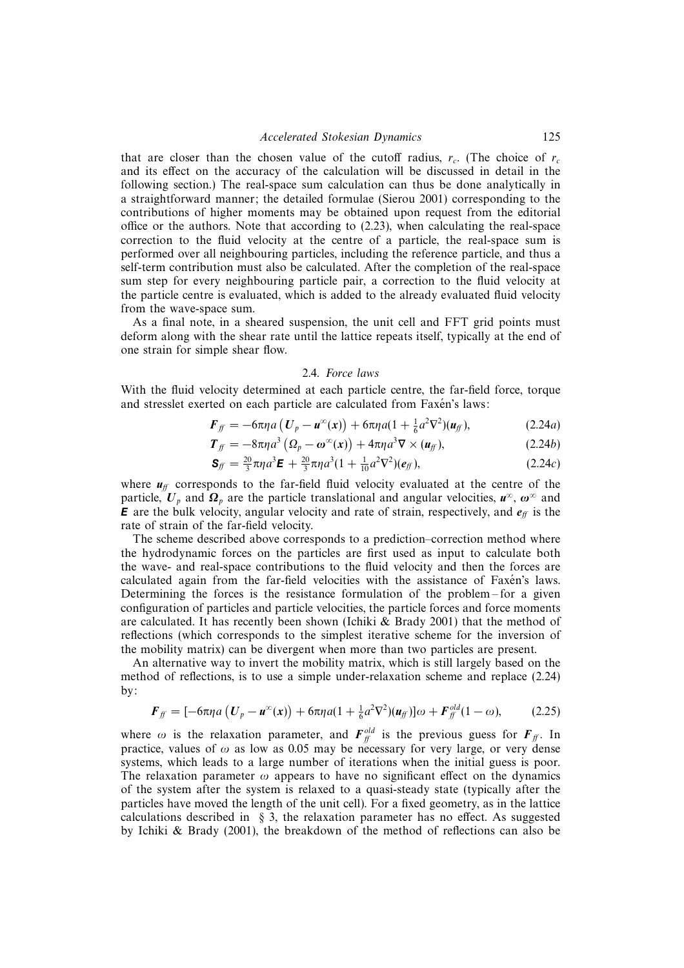that are closer than the chosen value of the cutoff radius,  $r_c$ . (The choice of  $r_c$ and its effect on the accuracy of the calculation will be discussed in detail in the following section.) The real-space sum calculation can thus be done analytically in a straightforward manner; the detailed formulae (Sierou 2001) corresponding to the contributions of higher moments may be obtained upon request from the editorial office or the authors. Note that according to (2.23), when calculating the real-space correction to the fluid velocity at the centre of a particle, the real-space sum is performed over all neighbouring particles, including the reference particle, and thus a self-term contribution must also be calculated. After the completion of the real-space sum step for every neighbouring particle pair, a correction to the fluid velocity at the particle centre is evaluated, which is added to the already evaluated fluid velocity from the wave-space sum.

As a final note, in a sheared suspension, the unit cell and FFT grid points must deform along with the shear rate until the lattice repeats itself, typically at the end of one strain for simple shear flow.

## 2.4. Force laws

With the fluid velocity determined at each particle centre, the far-field force, torque and stresslet exerted on each particle are calculated from Faxén's laws:

$$
\boldsymbol{F}_{\mathcal{F}} = -6\pi\eta a \left( \boldsymbol{U}_{p} - \boldsymbol{u}^{\infty}(\boldsymbol{x}) \right) + 6\pi\eta a (1 + \frac{1}{6}a^{2}\nabla^{2})(\boldsymbol{u}_{\mathcal{F}}), \qquad (2.24a)
$$

$$
\boldsymbol{T}_{\text{ff}} = -8\pi\eta a^3 \left( \Omega_p - \boldsymbol{\omega}^{\infty}(\boldsymbol{x}) \right) + 4\pi\eta a^3 \nabla \times (\boldsymbol{u}_{\text{ff}}), \qquad (2.24b)
$$

$$
\mathbf{S}_{\mathcal{J}} = \frac{20}{3}\pi\eta a^3 \mathbf{E} + \frac{20}{3}\pi\eta a^3 (1 + \frac{1}{10}a^2 \nabla^2)(\mathbf{e}_{\mathcal{J}}), \tag{2.24c}
$$

where  $u_f$  corresponds to the far-field fluid velocity evaluated at the centre of the particle, *U*<sup>p</sup> and *Ω*<sup>p</sup> are the particle translational and angular velocities, *u*∞, *ω*<sup>∞</sup> and *E* are the bulk velocity, angular velocity and rate of strain, respectively, and  $e_f$  is the rate of strain of the far-field velocity.

The scheme described above corresponds to a prediction–correction method where the hydrodynamic forces on the particles are first used as input to calculate both the wave- and real-space contributions to the fluid velocity and then the forces are calculated again from the far-field velocities with the assistance of Faxen's laws. Determining the forces is the resistance formulation of the problem – for a given configuration of particles and particle velocities, the particle forces and force moments are calculated. It has recently been shown (Ichiki  $\&$  Brady 2001) that the method of reflections (which corresponds to the simplest iterative scheme for the inversion of the mobility matrix) can be divergent when more than two particles are present.

An alternative way to invert the mobility matrix, which is still largely based on the method of reflections, is to use a simple under-relaxation scheme and replace (2.24) by:

$$
\boldsymbol{F}_{\mathcal{F}} = \left[ -6\pi \eta a \left( \boldsymbol{U}_{p} - \boldsymbol{u}^{\infty}(\boldsymbol{x}) \right) + 6\pi \eta a (1 + \frac{1}{6} a^{2} \nabla^{2}) (\boldsymbol{u}_{\mathcal{F}}) \right] \boldsymbol{\omega} + \boldsymbol{F}_{\mathcal{F}}^{old} (1 - \boldsymbol{\omega}), \tag{2.25}
$$

where  $\omega$  is the relaxation parameter, and  $\mathbf{F}_{ff}^{old}$  is the previous guess for  $\mathbf{F}_{ff}$ . In practice, values of  $\omega$  as low as 0.05 may be necessary for very large, or very dense systems, which leads to a large number of iterations when the initial guess is poor. The relaxation parameter  $\omega$  appears to have no significant effect on the dynamics of the system after the system is relaxed to a quasi-steady state (typically after the particles have moved the length of the unit cell). For a fixed geometry, as in the lattice calculations described in  $\S$  3, the relaxation parameter has no effect. As suggested by Ichiki & Brady (2001), the breakdown of the method of reflections can also be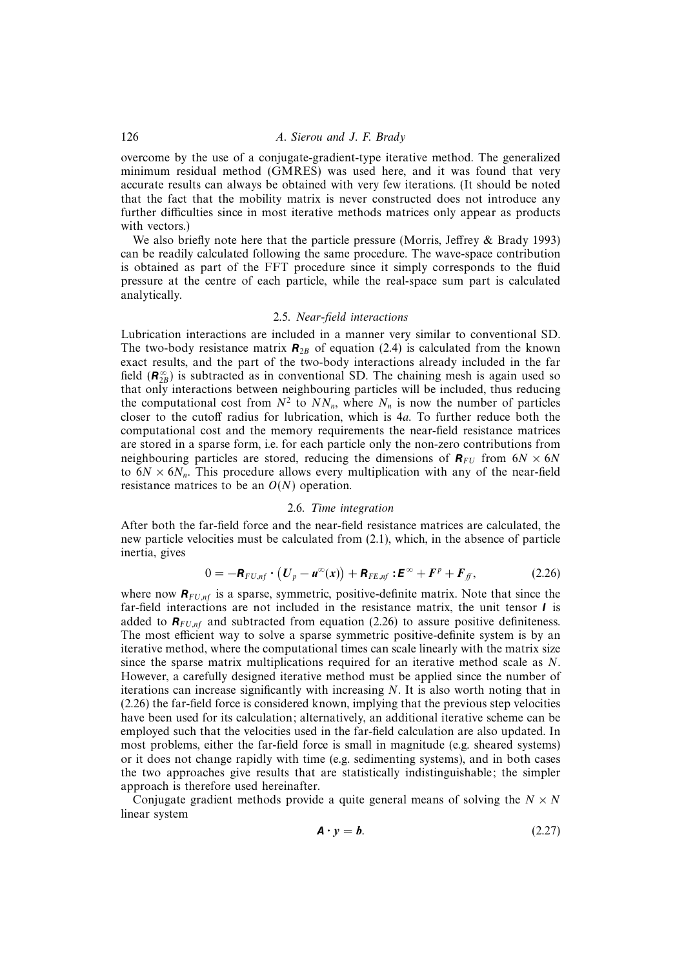overcome by the use of a conjugate-gradient-type iterative method. The generalized minimum residual method (GMRES) was used here, and it was found that very accurate results can always be obtained with very few iterations. (It should be noted that the fact that the mobility matrix is never constructed does not introduce any further difficulties since in most iterative methods matrices only appear as products with vectors.)

We also briefly note here that the particle pressure (Morris, Jeffrey  $\&$  Brady 1993) can be readily calculated following the same procedure. The wave-space contribution is obtained as part of the FFT procedure since it simply corresponds to the fluid pressure at the centre of each particle, while the real-space sum part is calculated analytically.

## 2.5. Near-field interactions

Lubrication interactions are included in a manner very similar to conventional SD. The two-body resistance matrix  $\mathbf{R}_{2B}$  of equation (2.4) is calculated from the known exact results, and the part of the two-body interactions already included in the far field  $({\bf R}_{2B}^{\infty})$  is subtracted as in conventional SD. The chaining mesh is again used so that only interactions between neighbouring particles will be included, thus reducing the computational cost from  $N^2$  to  $NN_n$ , where  $N_n$  is now the number of particles closer to the cutoff radius for lubrication, which is 4a. To further reduce both the computational cost and the memory requirements the near-field resistance matrices are stored in a sparse form, i.e. for each particle only the non-zero contributions from neighbouring particles are stored, reducing the dimensions of  $R_{FU}$  from  $6N \times 6N$ to  $6N \times 6N_n$ . This procedure allows every multiplication with any of the near-field resistance matrices to be an  $O(N)$  operation.

#### 2.6. Time integration

After both the far-field force and the near-field resistance matrices are calculated, the new particle velocities must be calculated from (2.1), which, in the absence of particle inertia, gives

$$
0 = -\mathbf{R}_{FU, nf} \cdot (U_p - \mathbf{u}^{\infty}(\mathbf{x})) + \mathbf{R}_{FE, nf} : \mathbf{E}^{\infty} + \mathbf{F}^p + \mathbf{F}_{ff},
$$
 (2.26)

where now  $\mathbf{R}_{FU, nf}$  is a sparse, symmetric, positive-definite matrix. Note that since the far-field interactions are not included in the resistance matrix, the unit tensor *I* is added to  $\mathbf{R}_{FUM}$  and subtracted from equation (2.26) to assure positive definiteness. The most efficient way to solve a sparse symmetric positive-definite system is by an iterative method, where the computational times can scale linearly with the matrix size since the sparse matrix multiplications required for an iterative method scale as N. However, a carefully designed iterative method must be applied since the number of iterations can increase significantly with increasing  $N$ . It is also worth noting that in (2.26) the far-field force is considered known, implying that the previous step velocities have been used for its calculation; alternatively, an additional iterative scheme can be employed such that the velocities used in the far-field calculation are also updated. In most problems, either the far-field force is small in magnitude (e.g. sheared systems) or it does not change rapidly with time (e.g. sedimenting systems), and in both cases the two approaches give results that are statistically indistinguishable; the simpler approach is therefore used hereinafter.

Conjugate gradient methods provide a quite general means of solving the  $N \times N$ linear system

$$
\mathbf{A} \cdot \mathbf{y} = \mathbf{b}.\tag{2.27}
$$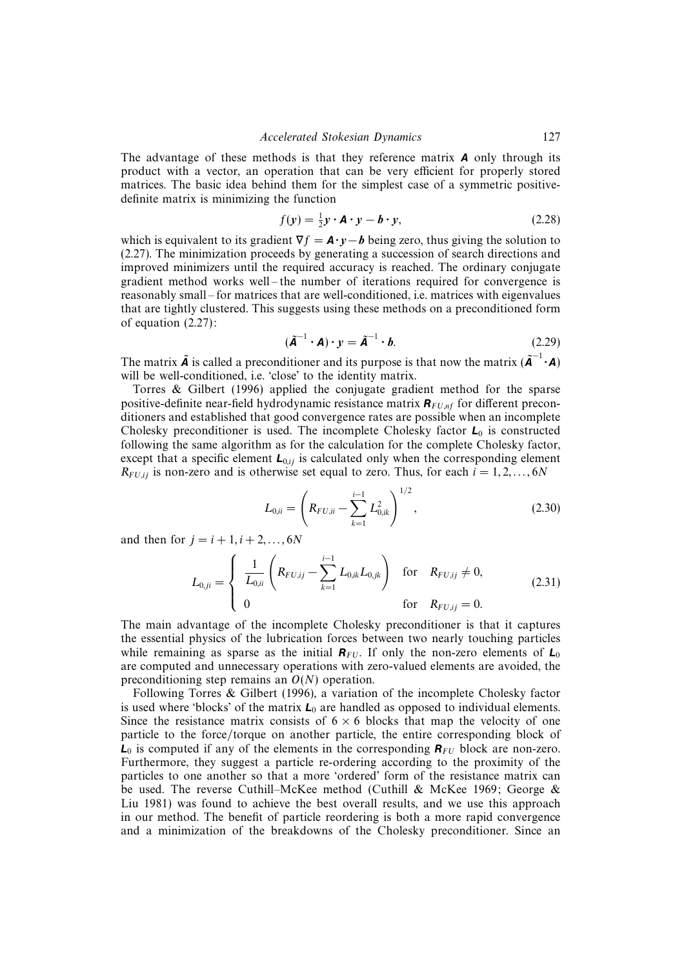The advantage of these methods is that they reference matrix *A* only through its product with a vector, an operation that can be very efficient for properly stored matrices. The basic idea behind them for the simplest case of a symmetric positivedefinite matrix is minimizing the function

$$
f(y) = \frac{1}{2}y \cdot \mathbf{A} \cdot y - b \cdot y,\tag{2.28}
$$

which is equivalent to its gradient  $\nabla f = \mathbf{A} \cdot \mathbf{y} - \mathbf{b}$  being zero, thus giving the solution to (2.27). The minimization proceeds by generating a succession of search directions and improved minimizers until the required accuracy is reached. The ordinary conjugate gradient method works well – the number of iterations required for convergence is reasonably small – for matrices that are well-conditioned, i.e. matrices with eigenvalues that are tightly clustered. This suggests using these methods on a preconditioned form of equation (2.27):

$$
(\tilde{\mathbf{A}}^{-1} \cdot \mathbf{A}) \cdot y = \tilde{\mathbf{A}}^{-1} \cdot \mathbf{b}.
$$
 (2.29)

The matrix  $\tilde{A}$  is called a preconditioner and its purpose is that now the matrix  $(\tilde{A}^{-1} \cdot A)$ will be well-conditioned, i.e. 'close' to the identity matrix.

Torres & Gilbert (1996) applied the conjugate gradient method for the sparse positive-definite near-field hydrodynamic resistance matrix  $R_{FU,nf}$  for different preconditioners and established that good convergence rates are possible when an incomplete Cholesky preconditioner is used. The incomplete Cholesky factor *L*<sup>0</sup> is constructed following the same algorithm as for the calculation for the complete Cholesky factor, except that a specific element  $L_{0,ij}$  is calculated only when the corresponding element  $R_{FU,ij}$  is non-zero and is otherwise set equal to zero. Thus, for each  $i = 1, 2, \ldots, 6N$ 

$$
L_{0,ii} = \left(R_{FU,ii} - \sum_{k=1}^{i-1} L_{0,ik}^2\right)^{1/2},\tag{2.30}
$$

and then for  $j = i + 1, i + 2, ..., 6N$ 

$$
L_{0,ji} = \begin{cases} \frac{1}{L_{0,ii}} \left( R_{FU,ij} - \sum_{k=1}^{i-1} L_{0,ik} L_{0,jk} \right) & \text{for} \quad R_{FU,ij} \neq 0, \\ 0 & \text{for} \quad R_{FU,ij} = 0. \end{cases}
$$
(2.31)

The main advantage of the incomplete Cholesky preconditioner is that it captures the essential physics of the lubrication forces between two nearly touching particles while remaining as sparse as the initial  $R_{FU}$ . If only the non-zero elements of  $L_0$ are computed and unnecessary operations with zero-valued elements are avoided, the preconditioning step remains an  $O(N)$  operation.

Following Torres & Gilbert (1996), a variation of the incomplete Cholesky factor is used where 'blocks' of the matrix  $L_0$  are handled as opposed to individual elements. Since the resistance matrix consists of  $6 \times 6$  blocks that map the velocity of one particle to the force/torque on another particle, the entire corresponding block of  $L_0$  is computed if any of the elements in the corresponding  $R_{FU}$  block are non-zero. Furthermore, they suggest a particle re-ordering according to the proximity of the particles to one another so that a more 'ordered' form of the resistance matrix can be used. The reverse Cuthill–McKee method (Cuthill & McKee 1969; George & Liu 1981) was found to achieve the best overall results, and we use this approach in our method. The benefit of particle reordering is both a more rapid convergence and a minimization of the breakdowns of the Cholesky preconditioner. Since an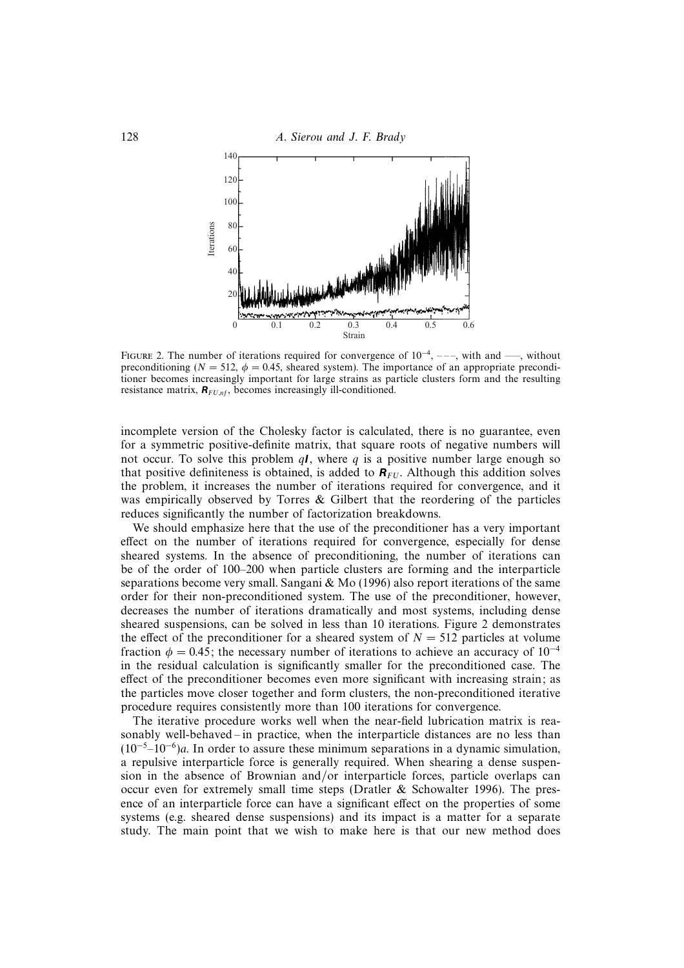

FIGURE 2. The number of iterations required for convergence of  $10^{-4}$ ,  $--$ , with and —, without preconditioning ( $N = 512$ ,  $\phi = 0.45$ , sheared system). The importance of an appropriate preconditioner becomes increasingly important for large strains as particle clusters form and the resulting resistance matrix,  $\mathbf{R}_{FU,nf}$ , becomes increasingly ill-conditioned.

incomplete version of the Cholesky factor is calculated, there is no guarantee, even for a symmetric positive-definite matrix, that square roots of negative numbers will not occur. To solve this problem  $qI$ , where  $q$  is a positive number large enough so that positive definiteness is obtained, is added to  $R_{FU}$ . Although this addition solves the problem, it increases the number of iterations required for convergence, and it was empirically observed by Torres & Gilbert that the reordering of the particles reduces significantly the number of factorization breakdowns.

We should emphasize here that the use of the preconditioner has a very important effect on the number of iterations required for convergence, especially for dense sheared systems. In the absence of preconditioning, the number of iterations can be of the order of 100–200 when particle clusters are forming and the interparticle separations become very small. Sangani & Mo (1996) also report iterations of the same order for their non-preconditioned system. The use of the preconditioner, however, decreases the number of iterations dramatically and most systems, including dense sheared suspensions, can be solved in less than 10 iterations. Figure 2 demonstrates the effect of the preconditioner for a sheared system of  $N = 512$  particles at volume fraction  $\phi = 0.45$ ; the necessary number of iterations to achieve an accuracy of 10<sup>-4</sup> in the residual calculation is significantly smaller for the preconditioned case. The effect of the preconditioner becomes even more significant with increasing strain; as the particles move closer together and form clusters, the non-preconditioned iterative procedure requires consistently more than 100 iterations for convergence.

The iterative procedure works well when the near-field lubrication matrix is reasonably well-behaved – in practice, when the interparticle distances are no less than  $(10^{-5}-10^{-6})a$ . In order to assure these minimum separations in a dynamic simulation, a repulsive interparticle force is generally required. When shearing a dense suspension in the absence of Brownian and/or interparticle forces, particle overlaps can occur even for extremely small time steps (Dratler & Schowalter 1996). The presence of an interparticle force can have a significant effect on the properties of some systems (e.g. sheared dense suspensions) and its impact is a matter for a separate study. The main point that we wish to make here is that our new method does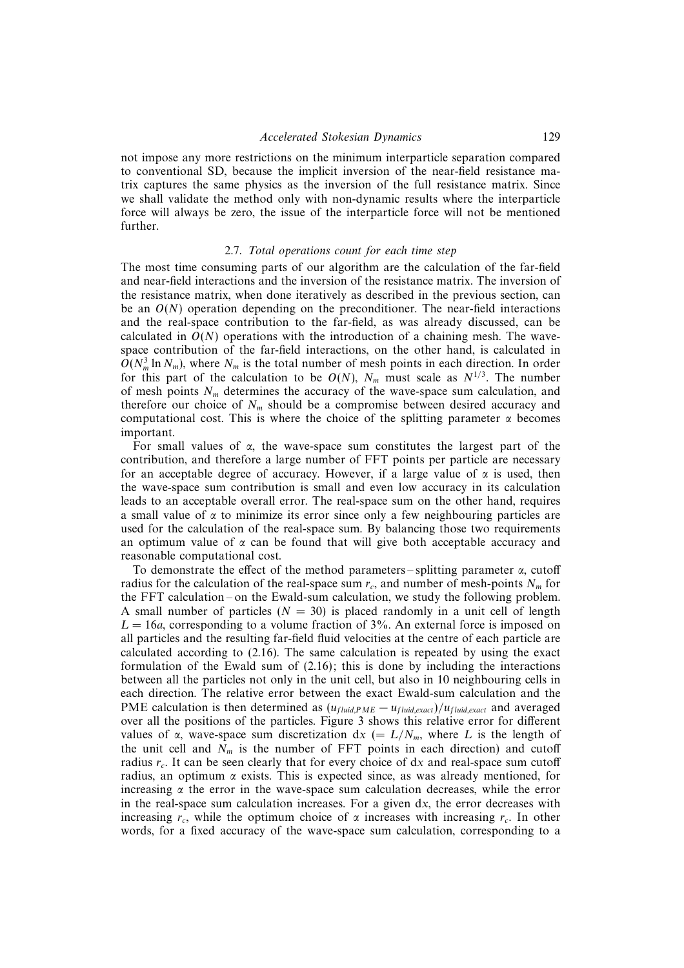not impose any more restrictions on the minimum interparticle separation compared to conventional SD, because the implicit inversion of the near-field resistance matrix captures the same physics as the inversion of the full resistance matrix. Since we shall validate the method only with non-dynamic results where the interparticle force will always be zero, the issue of the interparticle force will not be mentioned further.

#### 2.7. Total operations count for each time step

The most time consuming parts of our algorithm are the calculation of the far-field and near-field interactions and the inversion of the resistance matrix. The inversion of the resistance matrix, when done iteratively as described in the previous section, can be an  $O(N)$  operation depending on the preconditioner. The near-field interactions and the real-space contribution to the far-field, as was already discussed, can be calculated in  $O(N)$  operations with the introduction of a chaining mesh. The wavespace contribution of the far-field interactions, on the other hand, is calculated in  $O(N_m^3 \ln N_m)$ , where  $N_m$  is the total number of mesh points in each direction. In order for this part of the calculation to be  $O(N)$ ,  $N_m$  must scale as  $N^{1/3}$ . The number of mesh points  $N_m$  determines the accuracy of the wave-space sum calculation, and therefore our choice of  $N_m$  should be a compromise between desired accuracy and computational cost. This is where the choice of the splitting parameter  $\alpha$  becomes important.

For small values of  $\alpha$ , the wave-space sum constitutes the largest part of the contribution, and therefore a large number of FFT points per particle are necessary for an acceptable degree of accuracy. However, if a large value of  $\alpha$  is used, then the wave-space sum contribution is small and even low accuracy in its calculation leads to an acceptable overall error. The real-space sum on the other hand, requires a small value of  $\alpha$  to minimize its error since only a few neighbouring particles are used for the calculation of the real-space sum. By balancing those two requirements an optimum value of  $\alpha$  can be found that will give both acceptable accuracy and reasonable computational cost.

To demonstrate the effect of the method parameters – splitting parameter  $\alpha$ , cutoff radius for the calculation of the real-space sum  $r_c$ , and number of mesh-points  $N_m$  for the FFT calculation – on the Ewald-sum calculation, we study the following problem. A small number of particles  $(N = 30)$  is placed randomly in a unit cell of length  $L = 16a$ , corresponding to a volume fraction of 3%. An external force is imposed on all particles and the resulting far-field fluid velocities at the centre of each particle are calculated according to (2.16). The same calculation is repeated by using the exact formulation of the Ewald sum of (2.16); this is done by including the interactions between all the particles not only in the unit cell, but also in 10 neighbouring cells in each direction. The relative error between the exact Ewald-sum calculation and the PME calculation is then determined as  $(u_{fluid,PME} - u_{fluid,exact})/u_{fluid,exact}$  and averaged over all the positions of the particles. Figure 3 shows this relative error for different values of  $\alpha$ , wave-space sum discretization dx (=  $L/N_m$ , where L is the length of the unit cell and  $N_m$  is the number of FFT points in each direction) and cutoff radius  $r_c$ . It can be seen clearly that for every choice of dx and real-space sum cutoff radius, an optimum  $\alpha$  exists. This is expected since, as was already mentioned, for increasing  $\alpha$  the error in the wave-space sum calculation decreases, while the error in the real-space sum calculation increases. For a given  $dx$ , the error decreases with increasing  $r_c$ , while the optimum choice of  $\alpha$  increases with increasing  $r_c$ . In other words, for a fixed accuracy of the wave-space sum calculation, corresponding to a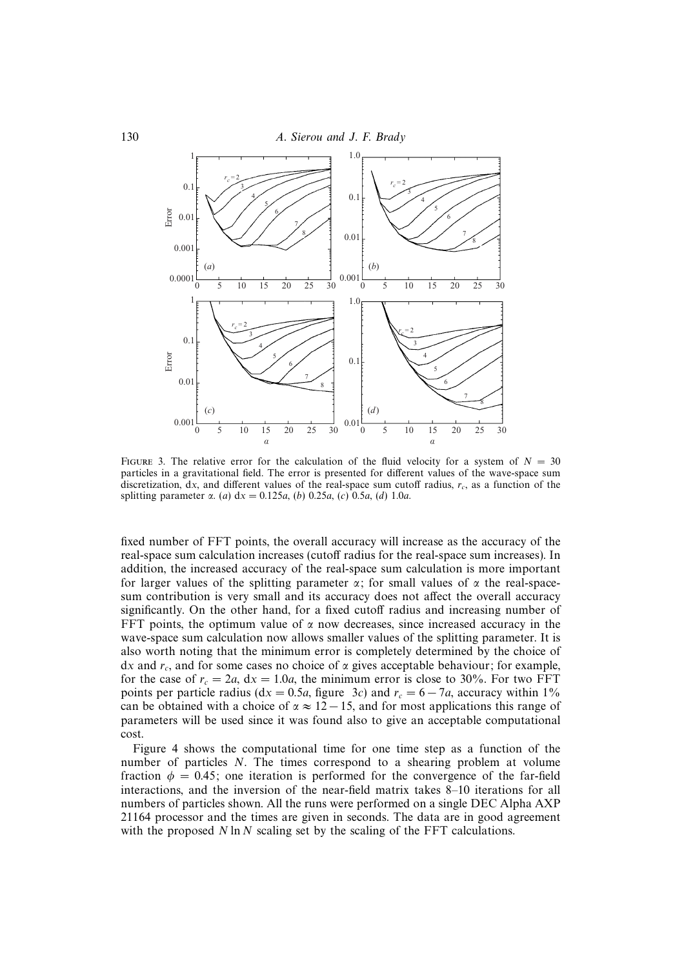130 A. Sierou and J. F. Brady



FIGURE 3. The relative error for the calculation of the fluid velocity for a system of  $N = 30$ particles in a gravitational field. The error is presented for different values of the wave-space sum discretization, dx, and different values of the real-space sum cutoff radius,  $r_c$ , as a function of the splitting parameter  $\alpha$ . (a)  $dx = 0.125a$ , (b) 0.25a, (c) 0.5a, (d) 1.0a.

fixed number of FFT points, the overall accuracy will increase as the accuracy of the real-space sum calculation increases (cutoff radius for the real-space sum increases). In addition, the increased accuracy of the real-space sum calculation is more important for larger values of the splitting parameter  $\alpha$ ; for small values of  $\alpha$  the real-spacesum contribution is very small and its accuracy does not affect the overall accuracy significantly. On the other hand, for a fixed cutoff radius and increasing number of FFT points, the optimum value of  $\alpha$  now decreases, since increased accuracy in the wave-space sum calculation now allows smaller values of the splitting parameter. It is also worth noting that the minimum error is completely determined by the choice of dx and  $r_c$ , and for some cases no choice of  $\alpha$  gives acceptable behaviour; for example, for the case of  $r_c = 2a$ ,  $dx = 1.0a$ , the minimum error is close to 30%. For two FFT points per particle radius (dx = 0.5a, figure 3c) and  $r_c = 6 - 7a$ , accuracy within 1% can be obtained with a choice of  $\alpha \approx 12 - 15$ , and for most applications this range of parameters will be used since it was found also to give an acceptable computational cost.

Figure 4 shows the computational time for one time step as a function of the number of particles N. The times correspond to a shearing problem at volume fraction  $\phi = 0.45$ ; one iteration is performed for the convergence of the far-field interactions, and the inversion of the near-field matrix takes 8–10 iterations for all numbers of particles shown. All the runs were performed on a single DEC Alpha AXP 21164 processor and the times are given in seconds. The data are in good agreement with the proposed  $N \ln N$  scaling set by the scaling of the FFT calculations.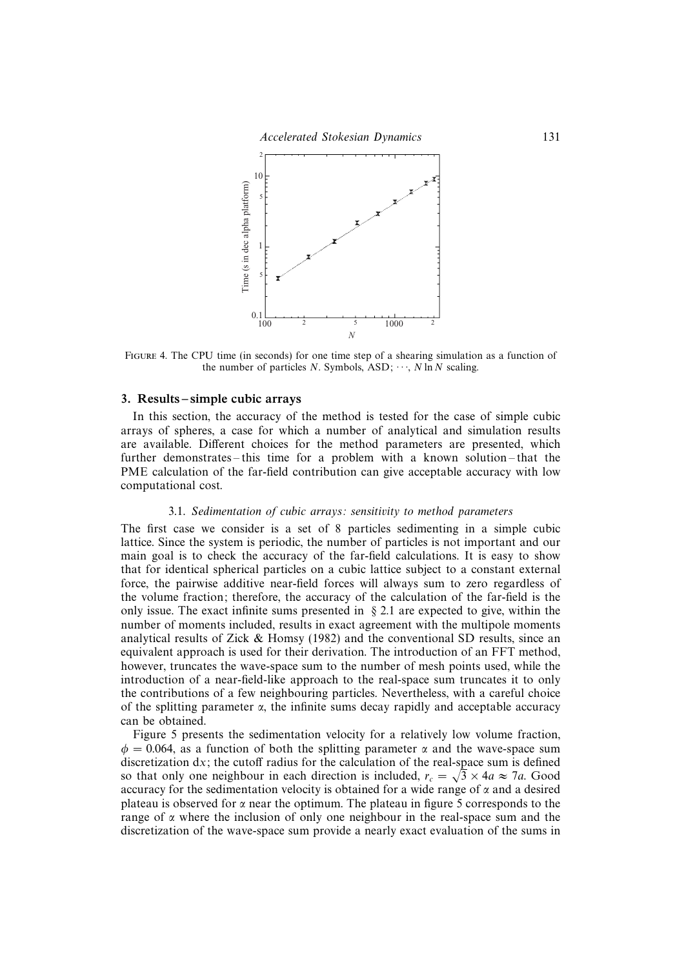Accelerated Stokesian Dynamics 131



Figure 4. The CPU time (in seconds) for one time step of a shearing simulation as a function of the number of particles N. Symbols,  $ASD; \dots, N \ln N$  scaling.

## 3. Results – simple cubic arrays

In this section, the accuracy of the method is tested for the case of simple cubic arrays of spheres, a case for which a number of analytical and simulation results are available. Different choices for the method parameters are presented, which further demonstrates – this time for a problem with a known solution – that the PME calculation of the far-field contribution can give acceptable accuracy with low computational cost.

#### 3.1. Sedimentation of cubic arrays: sensitivity to method parameters

The first case we consider is a set of 8 particles sedimenting in a simple cubic lattice. Since the system is periodic, the number of particles is not important and our main goal is to check the accuracy of the far-field calculations. It is easy to show that for identical spherical particles on a cubic lattice subject to a constant external force, the pairwise additive near-field forces will always sum to zero regardless of the volume fraction; therefore, the accuracy of the calculation of the far-field is the only issue. The exact infinite sums presented in  $\S 2.1$  are expected to give, within the number of moments included, results in exact agreement with the multipole moments analytical results of Zick  $\&$  Homsy (1982) and the conventional SD results, since an equivalent approach is used for their derivation. The introduction of an FFT method, however, truncates the wave-space sum to the number of mesh points used, while the introduction of a near-field-like approach to the real-space sum truncates it to only the contributions of a few neighbouring particles. Nevertheless, with a careful choice of the splitting parameter  $\alpha$ , the infinite sums decay rapidly and acceptable accuracy can be obtained.

Figure 5 presents the sedimentation velocity for a relatively low volume fraction,  $\phi = 0.064$ , as a function of both the splitting parameter  $\alpha$  and the wave-space sum discretization dx; the cutoff radius for the calculation of the real-space sum is defined so that only one neighbour in each direction is included,  $r_c = \sqrt{3} \times 4a \approx 7a$ . Good accuracy for the sedimentation velocity is obtained for a wide range of  $\alpha$  and a desired plateau is observed for  $\alpha$  near the optimum. The plateau in figure 5 corresponds to the range of  $\alpha$  where the inclusion of only one neighbour in the real-space sum and the discretization of the wave-space sum provide a nearly exact evaluation of the sums in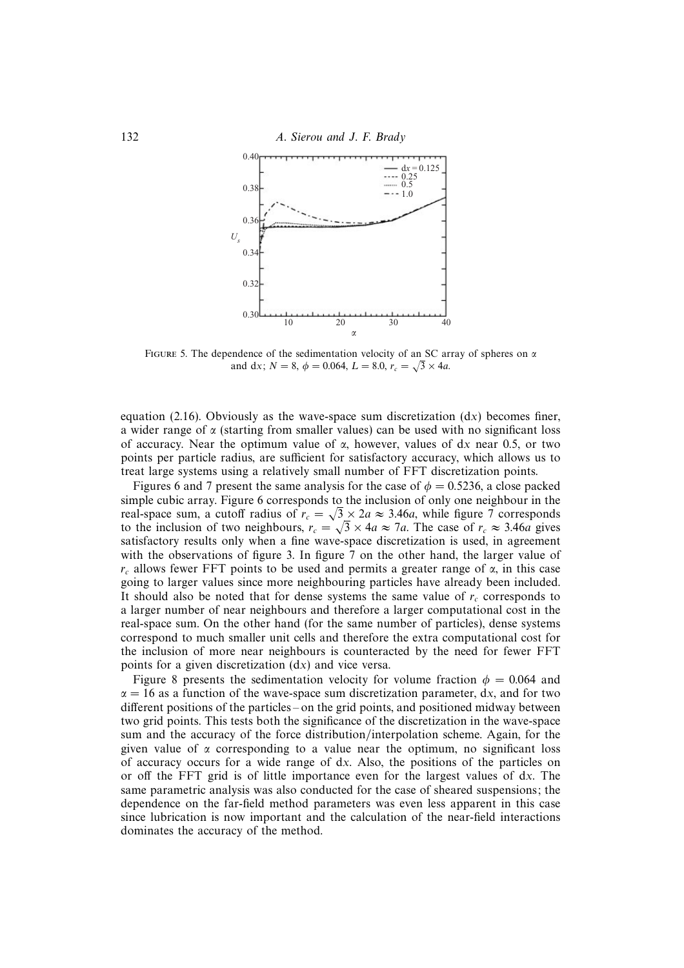

FIGURE 5. The dependence of the sedimentation velocity of an SC array of spheres on  $\alpha$ and dx;  $N = 8$ ,  $\phi = 0.064$ ,  $L = 8.0$ ,  $r_c = \sqrt{3} \times 4a$ .

equation (2.16). Obviously as the wave-space sum discretization  $(dx)$  becomes finer, a wider range of  $\alpha$  (starting from smaller values) can be used with no significant loss of accuracy. Near the optimum value of  $\alpha$ , however, values of dx near 0.5, or two points per particle radius, are sufficient for satisfactory accuracy, which allows us to treat large systems using a relatively small number of FFT discretization points.

Figures 6 and 7 present the same analysis for the case of  $\phi = 0.5236$ , a close packed simple cubic array. Figure 6 corresponds to the inclusion of only one neighbour in the real-space sum, a cutoff radius of  $r_c = \sqrt{3} \times 2a \approx 3.46a$ , while figure 7 corresponds to the inclusion of two neighbours,  $r_c = \sqrt{3} \times 4a \approx 7a$ . The case of  $r_c \approx 3.46a$  gives satisfactory results only when a fine wave-space discretization is used, in agreement with the observations of figure 3. In figure 7 on the other hand, the larger value of  $r_c$  allows fewer FFT points to be used and permits a greater range of  $\alpha$ , in this case going to larger values since more neighbouring particles have already been included. It should also be noted that for dense systems the same value of  $r_c$  corresponds to a larger number of near neighbours and therefore a larger computational cost in the real-space sum. On the other hand (for the same number of particles), dense systems correspond to much smaller unit cells and therefore the extra computational cost for the inclusion of more near neighbours is counteracted by the need for fewer FFT points for a given discretization (dx) and vice versa.

Figure 8 presents the sedimentation velocity for volume fraction  $\phi = 0.064$  and  $\alpha = 16$  as a function of the wave-space sum discretization parameter, dx, and for two different positions of the particles – on the grid points, and positioned midway between two grid points. This tests both the significance of the discretization in the wave-space sum and the accuracy of the force distribution/interpolation scheme. Again, for the given value of  $\alpha$  corresponding to a value near the optimum, no significant loss of accuracy occurs for a wide range of dx. Also, the positions of the particles on or off the FFT grid is of little importance even for the largest values of dx. The same parametric analysis was also conducted for the case of sheared suspensions; the dependence on the far-field method parameters was even less apparent in this case since lubrication is now important and the calculation of the near-field interactions dominates the accuracy of the method.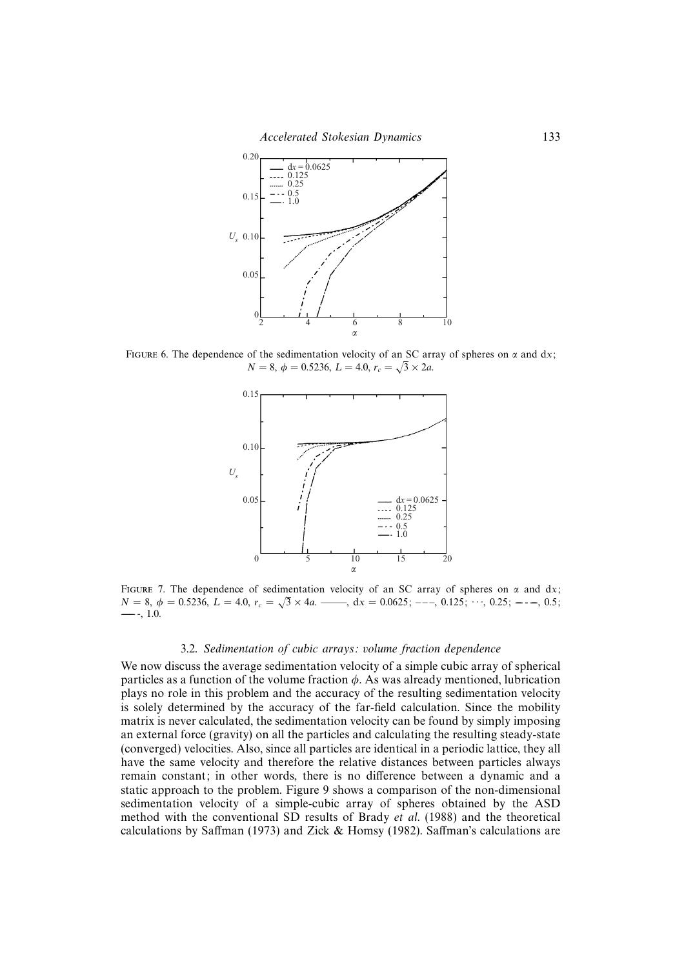Accelerated Stokesian Dynamics 133



FIGURE 6. The dependence of the sedimentation velocity of an SC array of spheres on  $\alpha$  and dx;  $N = 8, \phi = 0.5236, L = 4.0, r_c = \sqrt{3} \times 2a$ .



FIGURE 7. The dependence of sedimentation velocity of an SC array of spheres on  $\alpha$  and dx;  $N = 8, \phi = 0.5236, L = 4.0, r_c = \sqrt{3} \times 4a.$  (dx = 0.0625; ---, 0.125; ··, 0.25; ---, 0.5;  $-$ -, 1.0.

#### 3.2. Sedimentation of cubic arrays: volume fraction dependence

We now discuss the average sedimentation velocity of a simple cubic array of spherical particles as a function of the volume fraction  $\phi$ . As was already mentioned, lubrication plays no role in this problem and the accuracy of the resulting sedimentation velocity is solely determined by the accuracy of the far-field calculation. Since the mobility matrix is never calculated, the sedimentation velocity can be found by simply imposing an external force (gravity) on all the particles and calculating the resulting steady-state (converged) velocities. Also, since all particles are identical in a periodic lattice, they all have the same velocity and therefore the relative distances between particles always remain constant; in other words, there is no difference between a dynamic and a static approach to the problem. Figure 9 shows a comparison of the non-dimensional sedimentation velocity of a simple-cubic array of spheres obtained by the ASD method with the conventional SD results of Brady et al. (1988) and the theoretical calculations by Saffman (1973) and Zick & Homsy (1982). Saffman's calculations are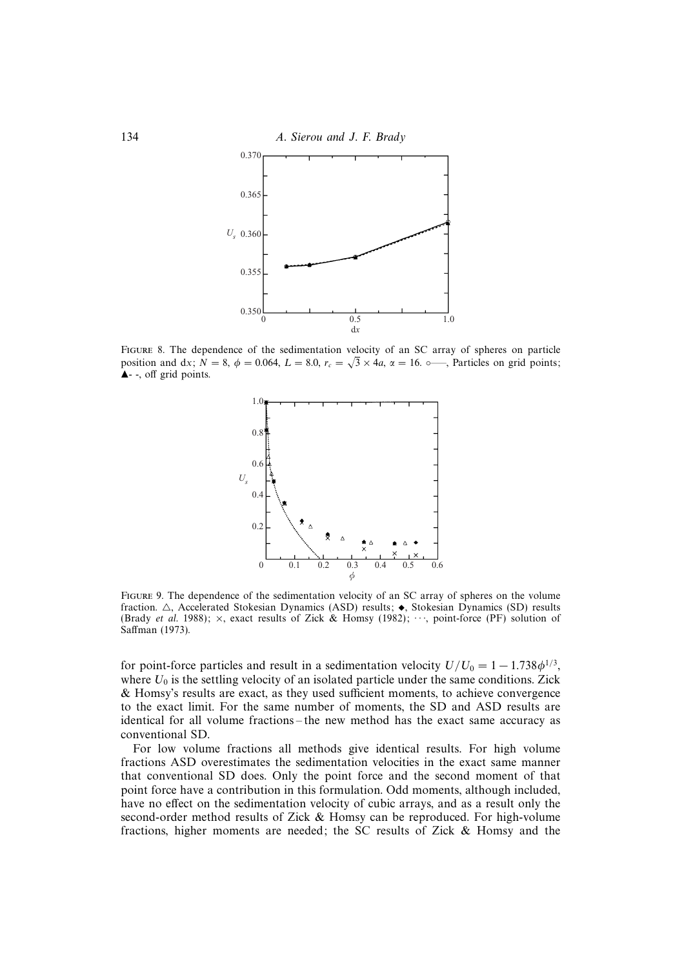

FIGURE 8. The dependence of the sedimentation velocity of an SC array of spheres on particle position and dx;  $N = 8$ ,  $\phi = 0.064$ ,  $L = 8.0$ ,  $r_c = \sqrt{3} \times 4a$ ,  $\alpha = 16$ .  $\sim$ —, Particles on grid points; N- -, off grid points.



Figure 9. The dependence of the sedimentation velocity of an SC array of spheres on the volume fraction.  $\triangle$ , Accelerated Stokesian Dynamics (ASD) results;  $\bullet$ , Stokesian Dynamics (SD) results (Brady et al. 1988);  $\times$ , exact results of Zick & Homsy (1982);  $\cdots$ , point-force (PF) solution of Saffman (1973).

for point-force particles and result in a sedimentation velocity  $U/U_0 = 1 - 1.738\phi^{1/3}$ , where  $U_0$  is the settling velocity of an isolated particle under the same conditions. Zick & Homsy's results are exact, as they used sufficient moments, to achieve convergence to the exact limit. For the same number of moments, the SD and ASD results are identical for all volume fractions – the new method has the exact same accuracy as conventional SD.

For low volume fractions all methods give identical results. For high volume fractions ASD overestimates the sedimentation velocities in the exact same manner that conventional SD does. Only the point force and the second moment of that point force have a contribution in this formulation. Odd moments, although included, have no effect on the sedimentation velocity of cubic arrays, and as a result only the second-order method results of Zick & Homsy can be reproduced. For high-volume fractions, higher moments are needed; the SC results of Zick & Homsy and the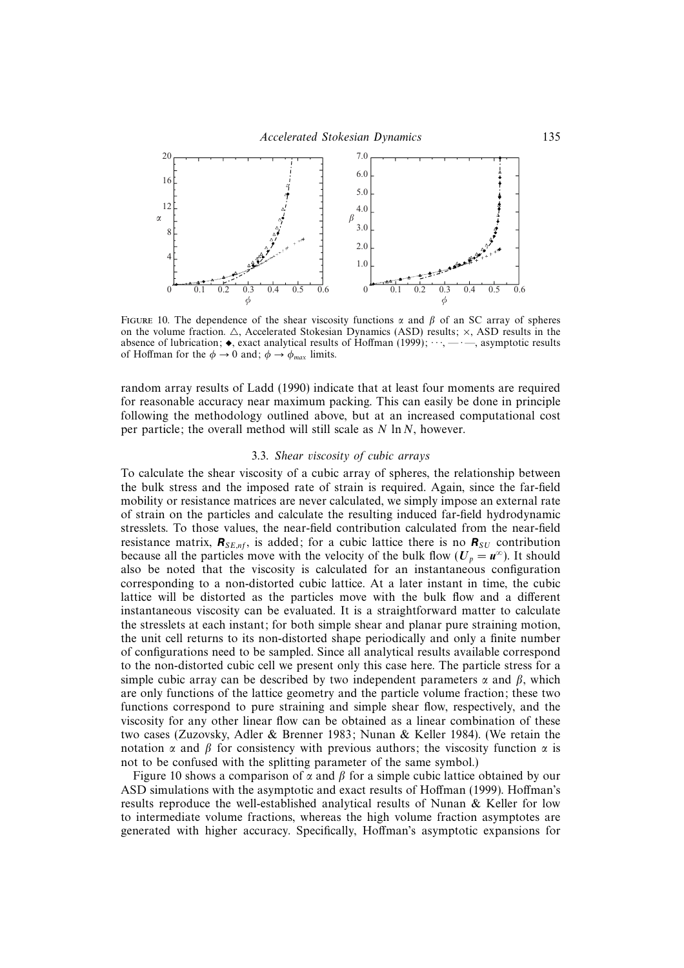

FIGURE 10. The dependence of the shear viscosity functions  $\alpha$  and  $\beta$  of an SC array of spheres on the volume fraction.  $\Delta$ , Accelerated Stokesian Dynamics (ASD) results;  $\times$ , ASD results in the absence of lubrication;  $\bullet$ , exact analytical results of Hoffman (1999);  $\cdots$ ,  $\cdots$  —, asymptotic results of Hoffman for the  $\phi \rightarrow 0$  and;  $\phi \rightarrow \phi_{max}$  limits.

random array results of Ladd (1990) indicate that at least four moments are required for reasonable accuracy near maximum packing. This can easily be done in principle following the methodology outlined above, but at an increased computational cost per particle; the overall method will still scale as  $N \ln N$ , however.

## 3.3. Shear viscosity of cubic arrays

To calculate the shear viscosity of a cubic array of spheres, the relationship between the bulk stress and the imposed rate of strain is required. Again, since the far-field mobility or resistance matrices are never calculated, we simply impose an external rate of strain on the particles and calculate the resulting induced far-field hydrodynamic stresslets. To those values, the near-field contribution calculated from the near-field resistance matrix,  $\mathbf{R}_{SE,nf}$ , is added; for a cubic lattice there is no  $\mathbf{R}_{SU}$  contribution because all the particles move with the velocity of the bulk flow ( $U_p = u^\infty$ ). It should also be noted that the viscosity is calculated for an instantaneous configuration corresponding to a non-distorted cubic lattice. At a later instant in time, the cubic lattice will be distorted as the particles move with the bulk flow and a different instantaneous viscosity can be evaluated. It is a straightforward matter to calculate the stresslets at each instant; for both simple shear and planar pure straining motion, the unit cell returns to its non-distorted shape periodically and only a finite number of configurations need to be sampled. Since all analytical results available correspond to the non-distorted cubic cell we present only this case here. The particle stress for a simple cubic array can be described by two independent parameters  $\alpha$  and  $\beta$ , which are only functions of the lattice geometry and the particle volume fraction; these two functions correspond to pure straining and simple shear flow, respectively, and the viscosity for any other linear flow can be obtained as a linear combination of these two cases (Zuzovsky, Adler & Brenner 1983; Nunan & Keller 1984). (We retain the notation  $\alpha$  and  $\beta$  for consistency with previous authors; the viscosity function  $\alpha$  is not to be confused with the splitting parameter of the same symbol.)

Figure 10 shows a comparison of  $\alpha$  and  $\beta$  for a simple cubic lattice obtained by our ASD simulations with the asymptotic and exact results of Hoffman (1999). Hoffman's results reproduce the well-established analytical results of Nunan & Keller for low to intermediate volume fractions, whereas the high volume fraction asymptotes are generated with higher accuracy. Specifically, Hoffman's asymptotic expansions for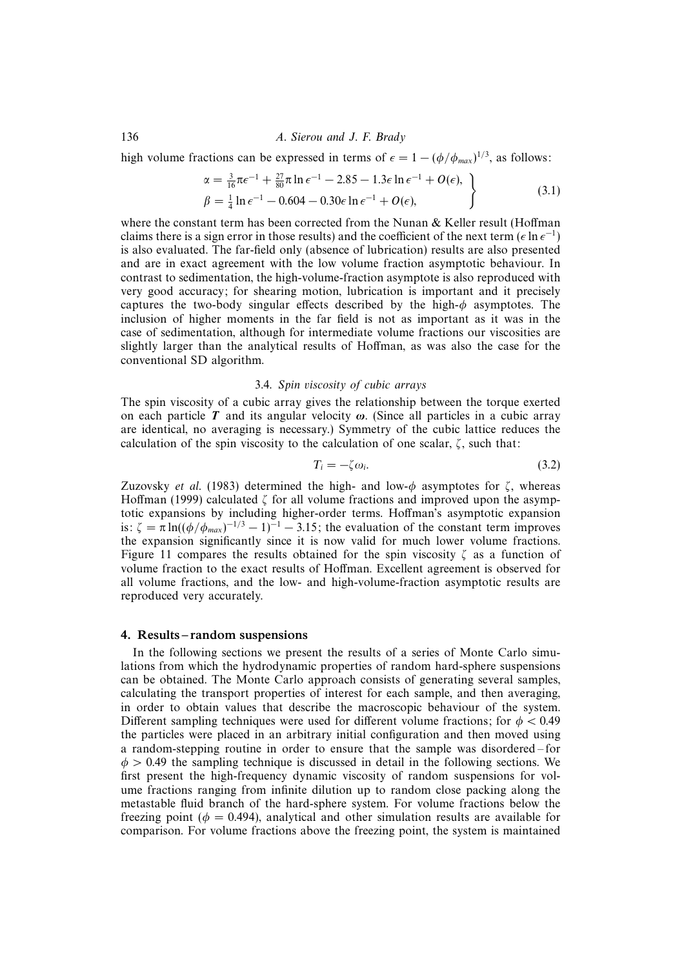high volume fractions can be expressed in terms of  $\epsilon = 1 - (\phi/\phi_{max})^{1/3}$ , as follows:

$$
\alpha = \frac{3}{16}\pi\epsilon^{-1} + \frac{27}{80}\pi\ln\epsilon^{-1} - 2.85 - 1.3\epsilon\ln\epsilon^{-1} + O(\epsilon),
$$
  
\n
$$
\beta = \frac{1}{4}\ln\epsilon^{-1} - 0.604 - 0.30\epsilon\ln\epsilon^{-1} + O(\epsilon),
$$
\n(3.1)

where the constant term has been corrected from the Nunan  $&$  Keller result (Hoffman claims there is a sign error in those results) and the coefficient of the next term ( $\epsilon \ln \epsilon^{-1}$ ) is also evaluated. The far-field only (absence of lubrication) results are also presented and are in exact agreement with the low volume fraction asymptotic behaviour. In contrast to sedimentation, the high-volume-fraction asymptote is also reproduced with very good accuracy; for shearing motion, lubrication is important and it precisely captures the two-body singular effects described by the high- $\phi$  asymptotes. The inclusion of higher moments in the far field is not as important as it was in the case of sedimentation, although for intermediate volume fractions our viscosities are slightly larger than the analytical results of Hoffman, as was also the case for the conventional SD algorithm.

## 3.4. Spin viscosity of cubic arrays

The spin viscosity of a cubic array gives the relationship between the torque exerted on each particle *T* and its angular velocity *ω*. (Since all particles in a cubic array are identical, no averaging is necessary.) Symmetry of the cubic lattice reduces the calculation of the spin viscosity to the calculation of one scalar,  $\zeta$ , such that:

$$
T_i = -\zeta \omega_i. \tag{3.2}
$$

Zuzovsky et al. (1983) determined the high- and low- $\phi$  asymptotes for  $\zeta$ , whereas Hoffman (1999) calculated  $\zeta$  for all volume fractions and improved upon the asymptotic expansions by including higher-order terms. Hoffman's asymptotic expansion is:  $\zeta = \pi \ln((\phi/\phi_{max})^{-1/3} - 1)^{-1} - 3.15$ ; the evaluation of the constant term improves the expansion significantly since it is now valid for much lower volume fractions. Figure 11 compares the results obtained for the spin viscosity  $\zeta$  as a function of volume fraction to the exact results of Hoffman. Excellent agreement is observed for all volume fractions, and the low- and high-volume-fraction asymptotic results are reproduced very accurately.

#### 4. Results – random suspensions

In the following sections we present the results of a series of Monte Carlo simulations from which the hydrodynamic properties of random hard-sphere suspensions can be obtained. The Monte Carlo approach consists of generating several samples, calculating the transport properties of interest for each sample, and then averaging, in order to obtain values that describe the macroscopic behaviour of the system. Different sampling techniques were used for different volume fractions; for  $\phi < 0.49$ the particles were placed in an arbitrary initial configuration and then moved using a random-stepping routine in order to ensure that the sample was disordered – for  $\phi > 0.49$  the sampling technique is discussed in detail in the following sections. We first present the high-frequency dynamic viscosity of random suspensions for volume fractions ranging from infinite dilution up to random close packing along the metastable fluid branch of the hard-sphere system. For volume fractions below the freezing point ( $\phi = 0.494$ ), analytical and other simulation results are available for comparison. For volume fractions above the freezing point, the system is maintained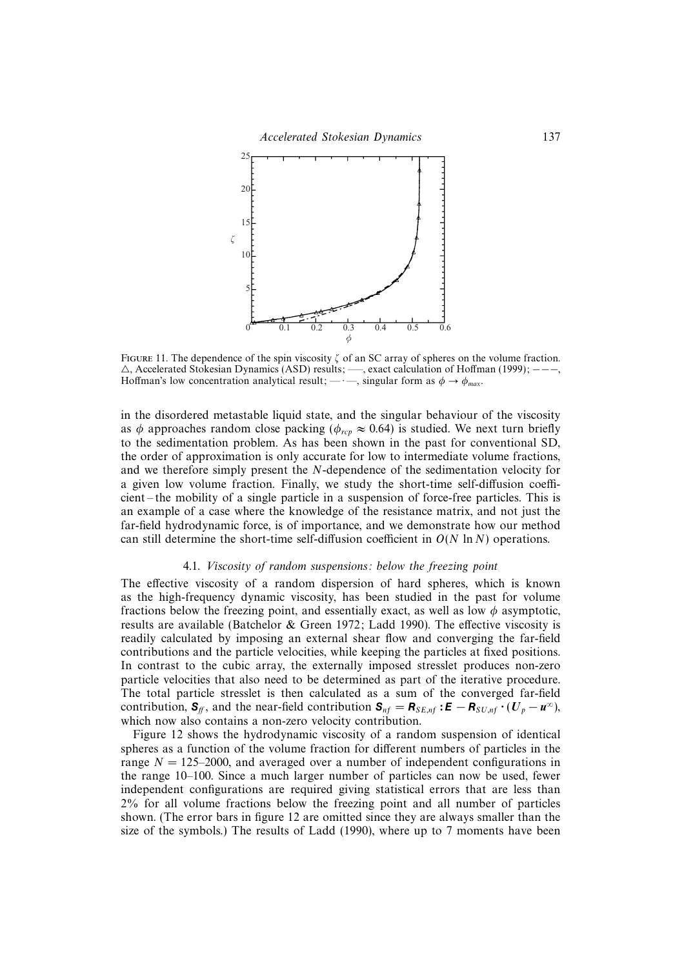

FIGURE 11. The dependence of the spin viscosity  $\zeta$  of an SC array of spheres on the volume fraction. 4, Accelerated Stokesian Dynamics (ASD) results; —–, exact calculation of Hoffman (1999); −−−, Hoffman's low concentration analytical result; —  $\rightarrow$ , singular form as  $\phi \rightarrow \phi_{max}$ .

in the disordered metastable liquid state, and the singular behaviour of the viscosity as φ approaches random close packing ( $\phi_{rcp} \approx 0.64$ ) is studied. We next turn briefly to the sedimentation problem. As has been shown in the past for conventional SD, the order of approximation is only accurate for low to intermediate volume fractions, and we therefore simply present the N-dependence of the sedimentation velocity for a given low volume fraction. Finally, we study the short-time self-diffusion coefficient – the mobility of a single particle in a suspension of force-free particles. This is an example of a case where the knowledge of the resistance matrix, and not just the far-field hydrodynamic force, is of importance, and we demonstrate how our method can still determine the short-time self-diffusion coefficient in  $O(N \ln N)$  operations.

# 4.1. Viscosity of random suspensions: below the freezing point

The effective viscosity of a random dispersion of hard spheres, which is known as the high-frequency dynamic viscosity, has been studied in the past for volume fractions below the freezing point, and essentially exact, as well as low  $\phi$  asymptotic, results are available (Batchelor & Green 1972; Ladd 1990). The effective viscosity is readily calculated by imposing an external shear flow and converging the far-field contributions and the particle velocities, while keeping the particles at fixed positions. In contrast to the cubic array, the externally imposed stresslet produces non-zero particle velocities that also need to be determined as part of the iterative procedure. The total particle stresslet is then calculated as a sum of the converged far-field contribution,  $S_f$ , and the near-field contribution  $S_{nf} = R_{SE, nf} : E - R_{SU, nf} \cdot (U_p - u^{\infty})$ , which now also contains a non-zero velocity contribution.

Figure 12 shows the hydrodynamic viscosity of a random suspension of identical spheres as a function of the volume fraction for different numbers of particles in the range  $N = 125-2000$ , and averaged over a number of independent configurations in the range 10–100. Since a much larger number of particles can now be used, fewer independent configurations are required giving statistical errors that are less than 2% for all volume fractions below the freezing point and all number of particles shown. (The error bars in figure 12 are omitted since they are always smaller than the size of the symbols.) The results of Ladd (1990), where up to 7 moments have been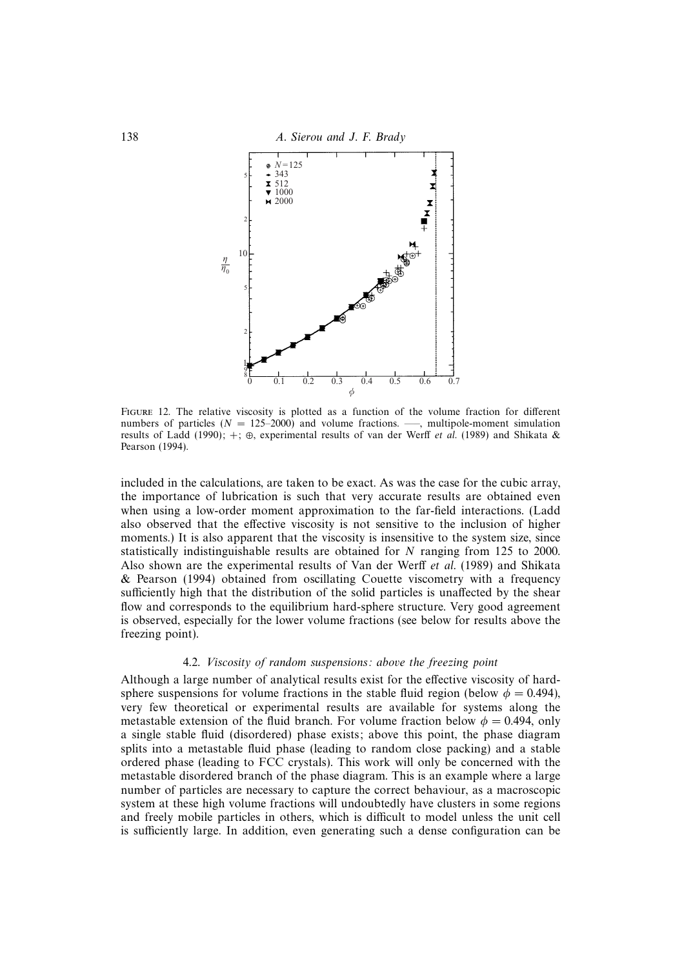

Figure 12. The relative viscosity is plotted as a function of the volume fraction for different numbers of particles  $(N = 125-2000)$  and volume fractions. —, multipole-moment simulation results of Ladd (1990); +; ⊕, experimental results of van der Werff et al. (1989) and Shikata & Pearson (1994).

included in the calculations, are taken to be exact. As was the case for the cubic array, the importance of lubrication is such that very accurate results are obtained even when using a low-order moment approximation to the far-field interactions. (Ladd also observed that the effective viscosity is not sensitive to the inclusion of higher moments.) It is also apparent that the viscosity is insensitive to the system size, since statistically indistinguishable results are obtained for N ranging from 125 to 2000. Also shown are the experimental results of Van der Werff et al. (1989) and Shikata & Pearson (1994) obtained from oscillating Couette viscometry with a frequency sufficiently high that the distribution of the solid particles is unaffected by the shear flow and corresponds to the equilibrium hard-sphere structure. Very good agreement is observed, especially for the lower volume fractions (see below for results above the freezing point).

#### 4.2. Viscosity of random suspensions: above the freezing point

Although a large number of analytical results exist for the effective viscosity of hardsphere suspensions for volume fractions in the stable fluid region (below  $\phi = 0.494$ ), very few theoretical or experimental results are available for systems along the metastable extension of the fluid branch. For volume fraction below  $\phi = 0.494$ , only a single stable fluid (disordered) phase exists; above this point, the phase diagram splits into a metastable fluid phase (leading to random close packing) and a stable ordered phase (leading to FCC crystals). This work will only be concerned with the metastable disordered branch of the phase diagram. This is an example where a large number of particles are necessary to capture the correct behaviour, as a macroscopic system at these high volume fractions will undoubtedly have clusters in some regions and freely mobile particles in others, which is difficult to model unless the unit cell is sufficiently large. In addition, even generating such a dense configuration can be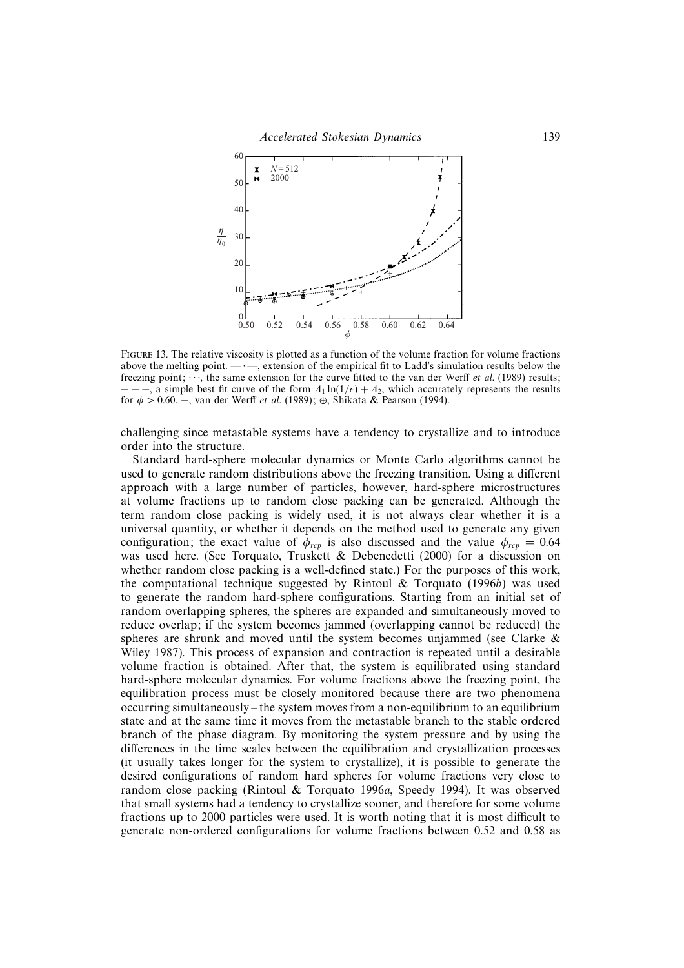

Figure 13. The relative viscosity is plotted as a function of the volume fraction for volume fractions above the melting point.  $-\cdot$ , extension of the empirical fit to Ladd's simulation results below the freezing point;  $\cdots$ , the same extension for the curve fitted to the van der Werff et al. (1989) results;  $-$ , a simple best fit curve of the form  $A_1 \ln(1/\epsilon) + A_2$ , which accurately represents the results for  $\phi > 0.60$ . +, van der Werff et al. (1989); ⊕, Shikata & Pearson (1994).

challenging since metastable systems have a tendency to crystallize and to introduce order into the structure.

Standard hard-sphere molecular dynamics or Monte Carlo algorithms cannot be used to generate random distributions above the freezing transition. Using a different approach with a large number of particles, however, hard-sphere microstructures at volume fractions up to random close packing can be generated. Although the term random close packing is widely used, it is not always clear whether it is a universal quantity, or whether it depends on the method used to generate any given configuration; the exact value of  $\phi_{rcp}$  is also discussed and the value  $\phi_{rcp} = 0.64$ was used here. (See Torquato, Truskett & Debenedetti (2000) for a discussion on whether random close packing is a well-defined state.) For the purposes of this work, the computational technique suggested by Rintoul & Torquato (1996b) was used to generate the random hard-sphere configurations. Starting from an initial set of random overlapping spheres, the spheres are expanded and simultaneously moved to reduce overlap; if the system becomes jammed (overlapping cannot be reduced) the spheres are shrunk and moved until the system becomes unjammed (see Clarke  $\&$ Wiley 1987). This process of expansion and contraction is repeated until a desirable volume fraction is obtained. After that, the system is equilibrated using standard hard-sphere molecular dynamics. For volume fractions above the freezing point, the equilibration process must be closely monitored because there are two phenomena occurring simultaneously – the system moves from a non-equilibrium to an equilibrium state and at the same time it moves from the metastable branch to the stable ordered branch of the phase diagram. By monitoring the system pressure and by using the differences in the time scales between the equilibration and crystallization processes (it usually takes longer for the system to crystallize), it is possible to generate the desired configurations of random hard spheres for volume fractions very close to random close packing (Rintoul & Torquato 1996a, Speedy 1994). It was observed that small systems had a tendency to crystallize sooner, and therefore for some volume fractions up to 2000 particles were used. It is worth noting that it is most difficult to generate non-ordered configurations for volume fractions between 0.52 and 0.58 as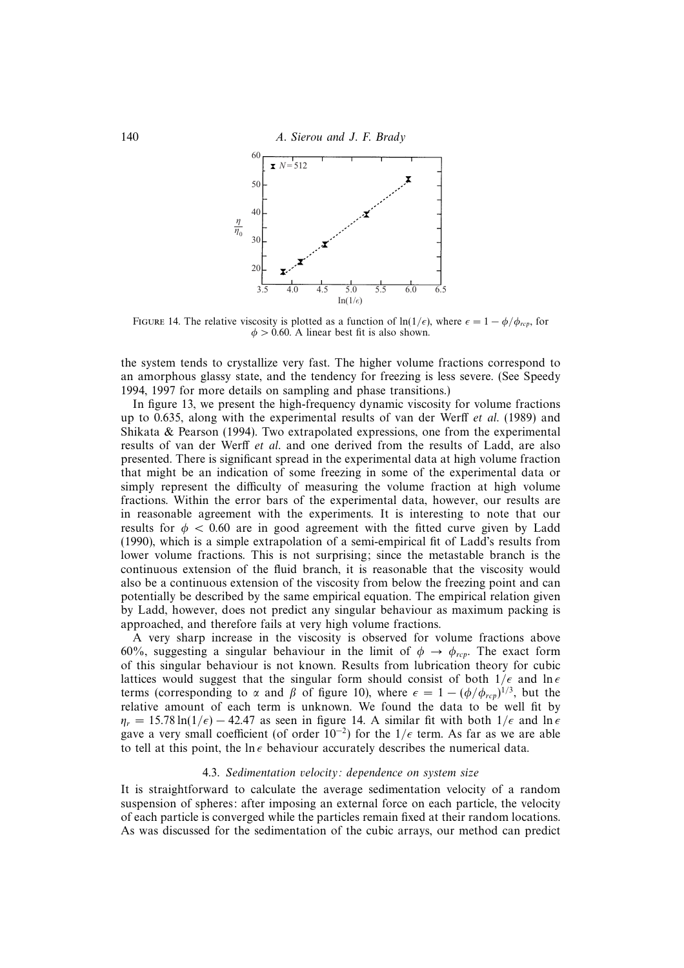

FIGURE 14. The relative viscosity is plotted as a function of  $\ln(1/\epsilon)$ , where  $\epsilon = 1 - \phi/\phi_{rcp}$ , for  $\phi > 0.60$ . A linear best fit is also shown.

the system tends to crystallize very fast. The higher volume fractions correspond to an amorphous glassy state, and the tendency for freezing is less severe. (See Speedy 1994, 1997 for more details on sampling and phase transitions.)

In figure 13, we present the high-frequency dynamic viscosity for volume fractions up to 0.635, along with the experimental results of van der Werff et al. (1989) and Shikata & Pearson (1994). Two extrapolated expressions, one from the experimental results of van der Werff et al. and one derived from the results of Ladd, are also presented. There is significant spread in the experimental data at high volume fraction that might be an indication of some freezing in some of the experimental data or simply represent the difficulty of measuring the volume fraction at high volume fractions. Within the error bars of the experimental data, however, our results are in reasonable agreement with the experiments. It is interesting to note that our results for  $\phi$  < 0.60 are in good agreement with the fitted curve given by Ladd (1990), which is a simple extrapolation of a semi-empirical fit of Ladd's results from lower volume fractions. This is not surprising; since the metastable branch is the continuous extension of the fluid branch, it is reasonable that the viscosity would also be a continuous extension of the viscosity from below the freezing point and can potentially be described by the same empirical equation. The empirical relation given by Ladd, however, does not predict any singular behaviour as maximum packing is approached, and therefore fails at very high volume fractions.

A very sharp increase in the viscosity is observed for volume fractions above 60%, suggesting a singular behaviour in the limit of  $\phi \rightarrow \phi_{rcp}$ . The exact form of this singular behaviour is not known. Results from lubrication theory for cubic lattices would suggest that the singular form should consist of both  $1/\epsilon$  and  $\ln \epsilon$ terms (corresponding to  $\alpha$  and  $\beta$  of figure 10), where  $\epsilon = 1 - (\phi/\phi_{rcp})^{1/3}$ , but the relative amount of each term is unknown. We found the data to be well fit by  $\eta_r = 15.78 \ln(1/\epsilon) - 42.47$  as seen in figure 14. A similar fit with both  $1/\epsilon$  and  $\ln \epsilon$ gave a very small coefficient (of order  $10^{-2}$ ) for the  $1/\epsilon$  term. As far as we are able to tell at this point, the ln  $\epsilon$  behaviour accurately describes the numerical data.

#### 4.3. Sedimentation velocity: dependence on system size

It is straightforward to calculate the average sedimentation velocity of a random suspension of spheres: after imposing an external force on each particle, the velocity of each particle is converged while the particles remain fixed at their random locations. As was discussed for the sedimentation of the cubic arrays, our method can predict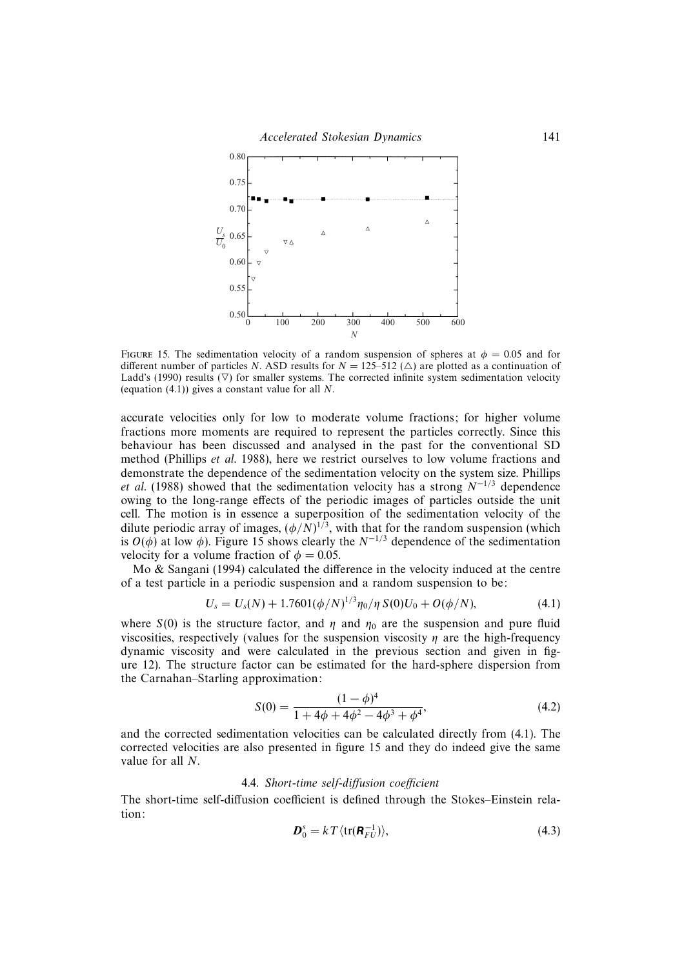

FIGURE 15. The sedimentation velocity of a random suspension of spheres at  $\phi = 0.05$  and for different number of particles N. ASD results for  $N = 125-512$  ( $\triangle$ ) are plotted as a continuation of Ladd's (1990) results  $(\nabla)$  for smaller systems. The corrected infinite system sedimentation velocity (equation (4.1)) gives a constant value for all N.

accurate velocities only for low to moderate volume fractions; for higher volume fractions more moments are required to represent the particles correctly. Since this behaviour has been discussed and analysed in the past for the conventional SD method (Phillips et al. 1988), here we restrict ourselves to low volume fractions and demonstrate the dependence of the sedimentation velocity on the system size. Phillips et al. (1988) showed that the sedimentation velocity has a strong  $N^{-1/3}$  dependence owing to the long-range effects of the periodic images of particles outside the unit cell. The motion is in essence a superposition of the sedimentation velocity of the dilute periodic array of images,  $(\phi/N)^{1/3}$ , with that for the random suspension (which is  $O(\phi)$  at low  $\phi$ ). Figure 15 shows clearly the  $N^{-1/3}$  dependence of the sedimentation velocity for a volume fraction of  $\phi = 0.05$ .

Mo & Sangani (1994) calculated the difference in the velocity induced at the centre of a test particle in a periodic suspension and a random suspension to be:

$$
U_s = U_s(N) + 1.7601(\phi/N)^{1/3}\eta_0/\eta S(0)U_0 + O(\phi/N), \qquad (4.1)
$$

where  $S(0)$  is the structure factor, and  $\eta$  and  $\eta_0$  are the suspension and pure fluid viscosities, respectively (values for the suspension viscosity  $\eta$  are the high-frequency dynamic viscosity and were calculated in the previous section and given in figure 12). The structure factor can be estimated for the hard-sphere dispersion from the Carnahan–Starling approximation:

$$
S(0) = \frac{(1 - \phi)^4}{1 + 4\phi + 4\phi^2 - 4\phi^3 + \phi^4},
$$
\n(4.2)

and the corrected sedimentation velocities can be calculated directly from (4.1). The corrected velocities are also presented in figure 15 and they do indeed give the same value for all N.

#### 4.4. Short-time self-diffusion coefficient

The short-time self-diffusion coefficient is defined through the Stokes–Einstein relation:

$$
\boldsymbol{D}_0^s = k \, T \langle \text{tr}(\boldsymbol{R}_{FU}^{-1}) \rangle, \tag{4.3}
$$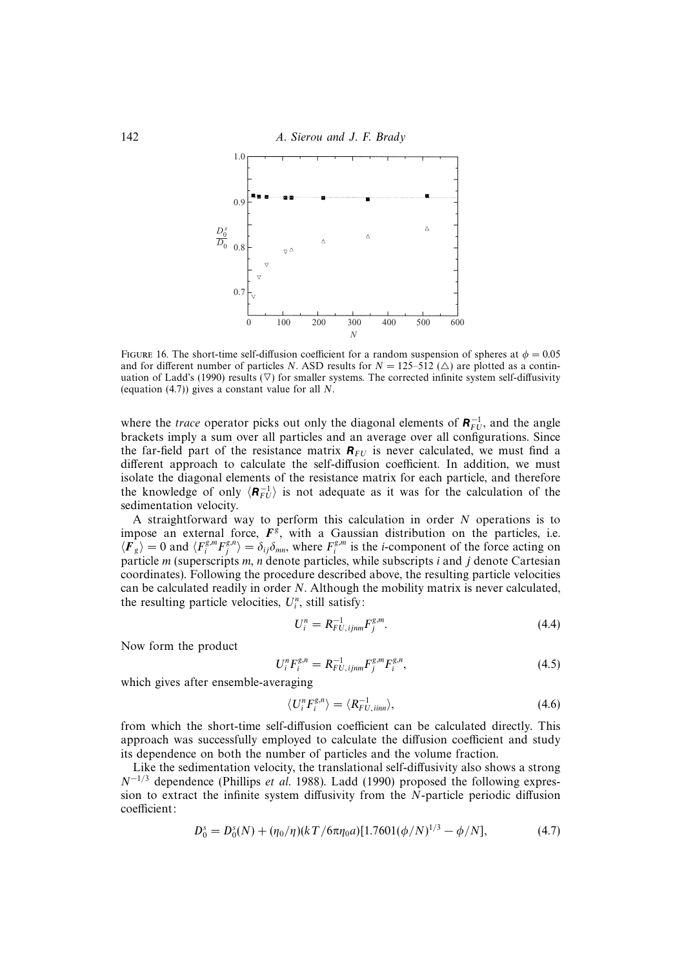

FIGURE 16. The short-time self-diffusion coefficient for a random suspension of spheres at  $\phi = 0.05$ and for different number of particles N. ASD results for  $N = 125-512$  ( $\triangle$ ) are plotted as a continuation of Ladd's (1990) results  $(\nabla)$  for smaller systems. The corrected infinite system self-diffusivity (equation (4.7)) gives a constant value for all N.

where the *trace* operator picks out only the diagonal elements of  $R_{FU}^{-1}$ , and the angle brackets imply a sum over all particles and an average over all configurations. Since the far-field part of the resistance matrix  $R_{FU}$  is never calculated, we must find a different approach to calculate the self-diffusion coefficient. In addition, we must isolate the diagonal elements of the resistance matrix for each particle, and therefore the knowledge of only  $\langle \mathbf{R}_{FU}^{-1} \rangle$  is not adequate as it was for the calculation of the sedimentation velocity.

A straightforward way to perform this calculation in order N operations is to impose an external force,  $F^g$ , with a Gaussian distribution on the particles, i.e.  $\langle \mathbf{F}_g \rangle = 0$  and  $\langle F_i^{g,m} F_j^{g,n} \rangle = \delta_{ij} \delta_{mn}$ , where  $F_i^{g,m}$  is the *i*-component of the force acting on particle  $m$  (superscripts  $m$ ,  $n$  denote particles, while subscripts  $i$  and  $j$  denote Cartesian coordinates). Following the procedure described above, the resulting particle velocities can be calculated readily in order N. Although the mobility matrix is never calculated, the resulting particle velocities,  $U_i^n$ , still satisfy:

$$
U_i^n = R_{FU,ijnm}^{-1} F_j^{g,m}.
$$
\n(4.4)

Now form the product

$$
I_i^n F_i^{g,n} = R_{FU,ijmn}^{-1} F_j^{g,m} F_i^{g,n}, \qquad (4.5)
$$

which gives after ensemble-averaging

 $\overline{I}$ 

$$
\langle U_i^n F_i^{g,n} \rangle = \langle R_{FU, \text{iinn}}^{-1} \rangle, \tag{4.6}
$$

from which the short-time self-diffusion coefficient can be calculated directly. This approach was successfully employed to calculate the diffusion coefficient and study its dependence on both the number of particles and the volume fraction.

Like the sedimentation velocity, the translational self-diffusivity also shows a strong  $N^{-1/3}$  dependence (Phillips *et al.* 1988). Ladd (1990) proposed the following expression to extract the infinite system diffusivity from the N-particle periodic diffusion coefficient:

$$
D_0^s = D_0^s(N) + (\eta_0/\eta)(kT/6\pi\eta_0 a)[1.7601(\phi/N)^{1/3} - \phi/N],
$$
 (4.7)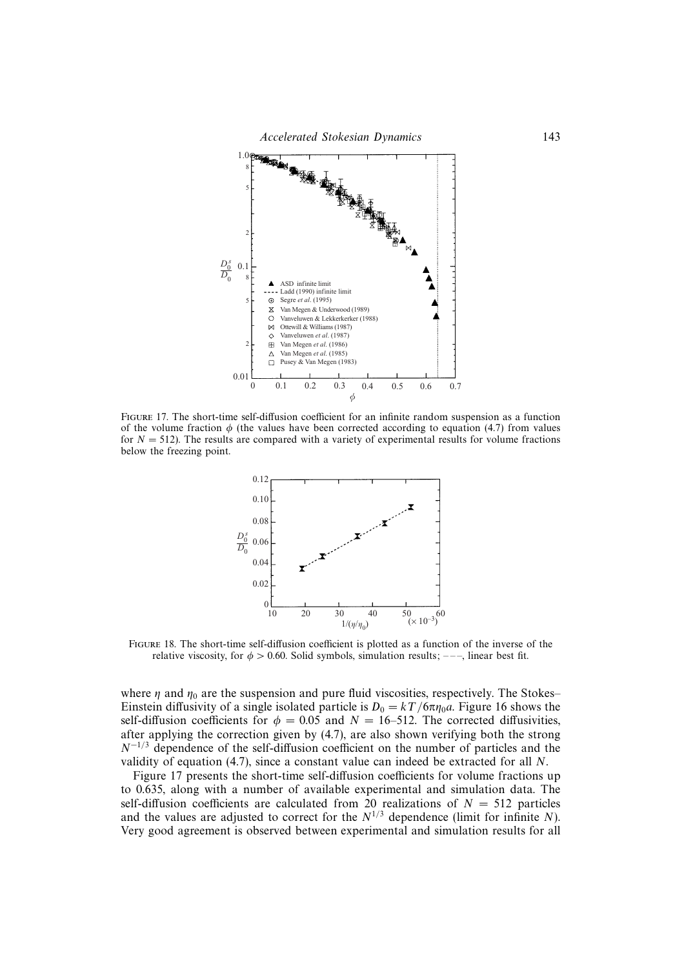

Figure 17. The short-time self-diffusion coefficient for an infinite random suspension as a function of the volume fraction  $\phi$  (the values have been corrected according to equation (4.7) from values for  $N = 512$ ). The results are compared with a variety of experimental results for volume fractions below the freezing point.



Figure 18. The short-time self-diffusion coefficient is plotted as a function of the inverse of the relative viscosity, for  $\phi > 0.60$ . Solid symbols, simulation results; ---, linear best fit.

where  $\eta$  and  $\eta_0$  are the suspension and pure fluid viscosities, respectively. The Stokes– Einstein diffusivity of a single isolated particle is  $D_0 = kT/6\pi\eta_0 a$ . Figure 16 shows the self-diffusion coefficients for  $\phi = 0.05$  and  $N = 16$ –512. The corrected diffusivities, after applying the correction given by (4.7), are also shown verifying both the strong  $N^{-1/3}$  dependence of the self-diffusion coefficient on the number of particles and the validity of equation (4.7), since a constant value can indeed be extracted for all N.

Figure 17 presents the short-time self-diffusion coefficients for volume fractions up to 0.635, along with a number of available experimental and simulation data. The self-diffusion coefficients are calculated from 20 realizations of  $N = 512$  particles and the values are adjusted to correct for the  $N^{1/3}$  dependence (limit for infinite N). Very good agreement is observed between experimental and simulation results for all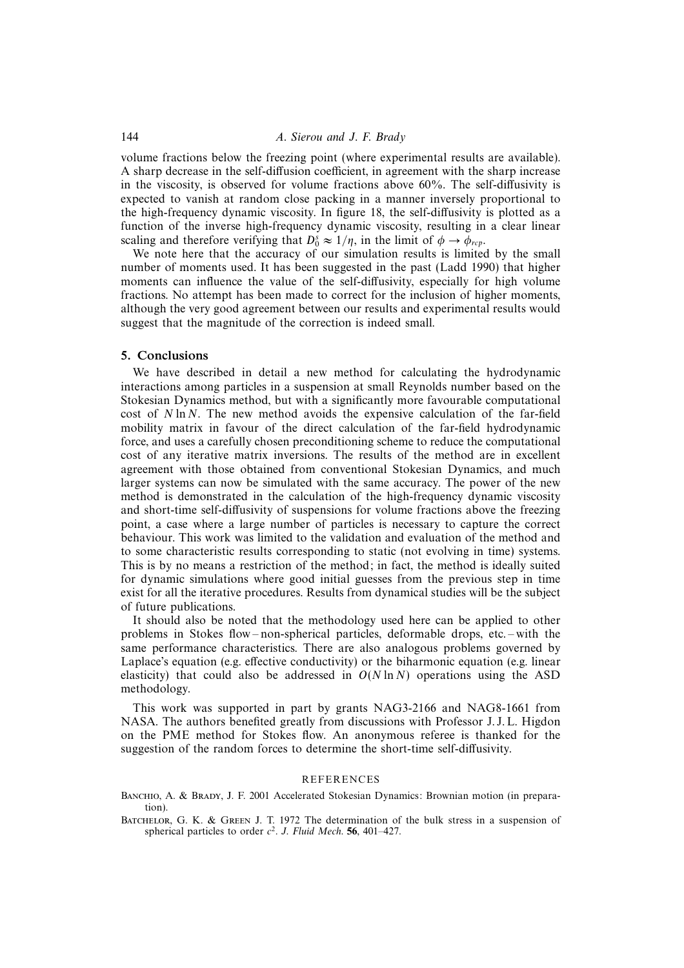volume fractions below the freezing point (where experimental results are available). A sharp decrease in the self-diffusion coefficient, in agreement with the sharp increase in the viscosity, is observed for volume fractions above 60%. The self-diffusivity is expected to vanish at random close packing in a manner inversely proportional to the high-frequency dynamic viscosity. In figure 18, the self-diffusivity is plotted as a function of the inverse high-frequency dynamic viscosity, resulting in a clear linear scaling and therefore verifying that  $D_0^s \approx 1/\eta$ , in the limit of  $\phi \to \phi_{rcp}$ .

We note here that the accuracy of our simulation results is limited by the small number of moments used. It has been suggested in the past (Ladd 1990) that higher moments can influence the value of the self-diffusivity, especially for high volume fractions. No attempt has been made to correct for the inclusion of higher moments, although the very good agreement between our results and experimental results would suggest that the magnitude of the correction is indeed small.

# 5. Conclusions

We have described in detail a new method for calculating the hydrodynamic interactions among particles in a suspension at small Reynolds number based on the Stokesian Dynamics method, but with a significantly more favourable computational cost of N ln N. The new method avoids the expensive calculation of the far-field mobility matrix in favour of the direct calculation of the far-field hydrodynamic force, and uses a carefully chosen preconditioning scheme to reduce the computational cost of any iterative matrix inversions. The results of the method are in excellent agreement with those obtained from conventional Stokesian Dynamics, and much larger systems can now be simulated with the same accuracy. The power of the new method is demonstrated in the calculation of the high-frequency dynamic viscosity and short-time self-diffusivity of suspensions for volume fractions above the freezing point, a case where a large number of particles is necessary to capture the correct behaviour. This work was limited to the validation and evaluation of the method and to some characteristic results corresponding to static (not evolving in time) systems. This is by no means a restriction of the method; in fact, the method is ideally suited for dynamic simulations where good initial guesses from the previous step in time exist for all the iterative procedures. Results from dynamical studies will be the subject of future publications.

It should also be noted that the methodology used here can be applied to other problems in Stokes flow – non-spherical particles, deformable drops, etc. – with the same performance characteristics. There are also analogous problems governed by Laplace's equation (e.g. effective conductivity) or the biharmonic equation (e.g. linear elasticity) that could also be addressed in  $O(N \ln N)$  operations using the ASD methodology.

This work was supported in part by grants NAG3-2166 and NAG8-1661 from NASA. The authors benefited greatly from discussions with Professor J. J. L. Higdon on the PME method for Stokes flow. An anonymous referee is thanked for the suggestion of the random forces to determine the short-time self-diffusivity.

## **REFERENCES**

BANCHIO, A. & BRADY, J. F. 2001 Accelerated Stokesian Dynamics: Brownian motion (in preparation).

BATCHELOR, G. K. & GREEN J. T. 1972 The determination of the bulk stress in a suspension of spherical particles to order  $c^2$ . J. Fluid Mech. **56**, 401-427.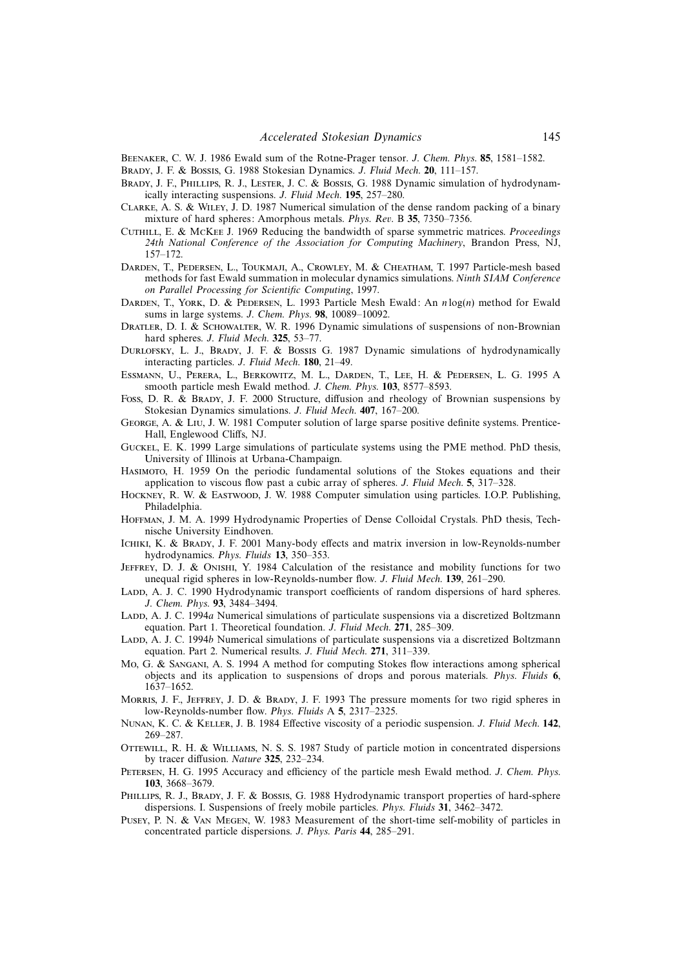Beenaker, C. W. J. 1986 Ewald sum of the Rotne-Prager tensor. J. Chem. Phys. **85**, 1581–1582.

Brady, J. F. & Bossis, G. 1988 Stokesian Dynamics. J. Fluid Mech. **20**, 111–157.

- BRADY, J. F., PHILLIPS, R. J., LESTER, J. C. & BOSSIS, G. 1988 Dynamic simulation of hydrodynamically interacting suspensions. J. Fluid Mech. **195**, 257–280.
- Clarke, A. S. & Wiley, J. D. 1987 Numerical simulation of the dense random packing of a binary mixture of hard spheres: Amorphous metals. Phys. Rev. B **35**, 7350–7356.
- CUTHILL, E. & MCKEE J. 1969 Reducing the bandwidth of sparse symmetric matrices. Proceedings 24th National Conference of the Association for Computing Machinery, Brandon Press, NJ, 157–172.
- Darden, T., Pedersen, L., Toukmaji, A., Crowley, M. & Cheatham, T. 1997 Particle-mesh based methods for fast Ewald summation in molecular dynamics simulations. Ninth SIAM Conference on Parallel Processing for Scientific Computing, 1997.
- DARDEN, T., YORK, D. & PEDERSEN, L. 1993 Particle Mesh Ewald: An  $n \log(n)$  method for Ewald sums in large systems. J. Chem. Phys. **98**, 10089–10092.
- Dratler, D. I. & Schowalter, W. R. 1996 Dynamic simulations of suspensions of non-Brownian hard spheres. J. Fluid Mech. **325**, 53–77.
- Durlofsky, L. J., Brady, J. F. & Bossis G. 1987 Dynamic simulations of hydrodynamically interacting particles. J. Fluid Mech. **180**, 21–49.
- Essmann, U., Perera, L., Berkowitz, M. L., Darden, T., Lee, H. & Pedersen, L. G. 1995 A smooth particle mesh Ewald method. J. Chem. Phys. **103**, 8577–8593.
- Foss, D. R. & Brady, J. F. 2000 Structure, diffusion and rheology of Brownian suspensions by Stokesian Dynamics simulations. J. Fluid Mech. **407**, 167–200.
- George, A. & Liu, J. W. 1981 Computer solution of large sparse positive definite systems. Prentice-Hall, Englewood Cliffs, NJ.
- Guckel, E. K. 1999 Large simulations of particulate systems using the PME method. PhD thesis, University of Illinois at Urbana-Champaign.
- Hasimoto, H. 1959 On the periodic fundamental solutions of the Stokes equations and their application to viscous flow past a cubic array of spheres. J. Fluid Mech. **5**, 317–328.
- HOCKNEY, R. W. & EASTWOOD, J. W. 1988 Computer simulation using particles. I.O.P. Publishing, Philadelphia.
- Hoffman, J. M. A. 1999 Hydrodynamic Properties of Dense Colloidal Crystals. PhD thesis, Technische University Eindhoven.
- Ichiki, K. & Brady, J. F. 2001 Many-body effects and matrix inversion in low-Reynolds-number hydrodynamics. Phys. Fluids **13**, 350–353.
- Jeffrey, D. J. & Onishi, Y. 1984 Calculation of the resistance and mobility functions for two unequal rigid spheres in low-Reynolds-number flow. J. Fluid Mech. **139**, 261–290.
- LADD, A. J. C. 1990 Hydrodynamic transport coefficients of random dispersions of hard spheres. J. Chem. Phys. **93**, 3484–3494.
- LADD, A. J. C. 1994a Numerical simulations of particulate suspensions via a discretized Boltzmann equation. Part 1. Theoretical foundation. J. Fluid Mech. **271**, 285–309.
- LADD, A. J. C. 1994b Numerical simulations of particulate suspensions via a discretized Boltzmann equation. Part 2. Numerical results. J. Fluid Mech. **271**, 311–339.
- Mo, G. & Sangani, A. S. 1994 A method for computing Stokes flow interactions among spherical objects and its application to suspensions of drops and porous materials. Phys. Fluids **6**, 1637–1652.
- MORRIS, J. F., JEFFREY, J. D. & BRADY, J. F. 1993 The pressure moments for two rigid spheres in low-Reynolds-number flow. Phys. Fluids A **5**, 2317–2325.
- Nunan, K. C. & Keller, J. B. 1984 Effective viscosity of a periodic suspension. J. Fluid Mech. **142**, 269–287.
- OTTEWILL, R. H. & WILLIAMS, N. S. S. 1987 Study of particle motion in concentrated dispersions by tracer diffusion. Nature **325**, 232–234.
- PETERSEN, H. G. 1995 Accuracy and efficiency of the particle mesh Ewald method. J. Chem. Phys. **103**, 3668–3679.
- PHILLIPS, R. J., BRADY, J. F. & BOSSIS, G. 1988 Hydrodynamic transport properties of hard-sphere dispersions. I. Suspensions of freely mobile particles. Phys. Fluids **31**, 3462–3472.
- Pusey, P. N. & Van Megen, W. 1983 Measurement of the short-time self-mobility of particles in concentrated particle dispersions. J. Phys. Paris **44**, 285–291.